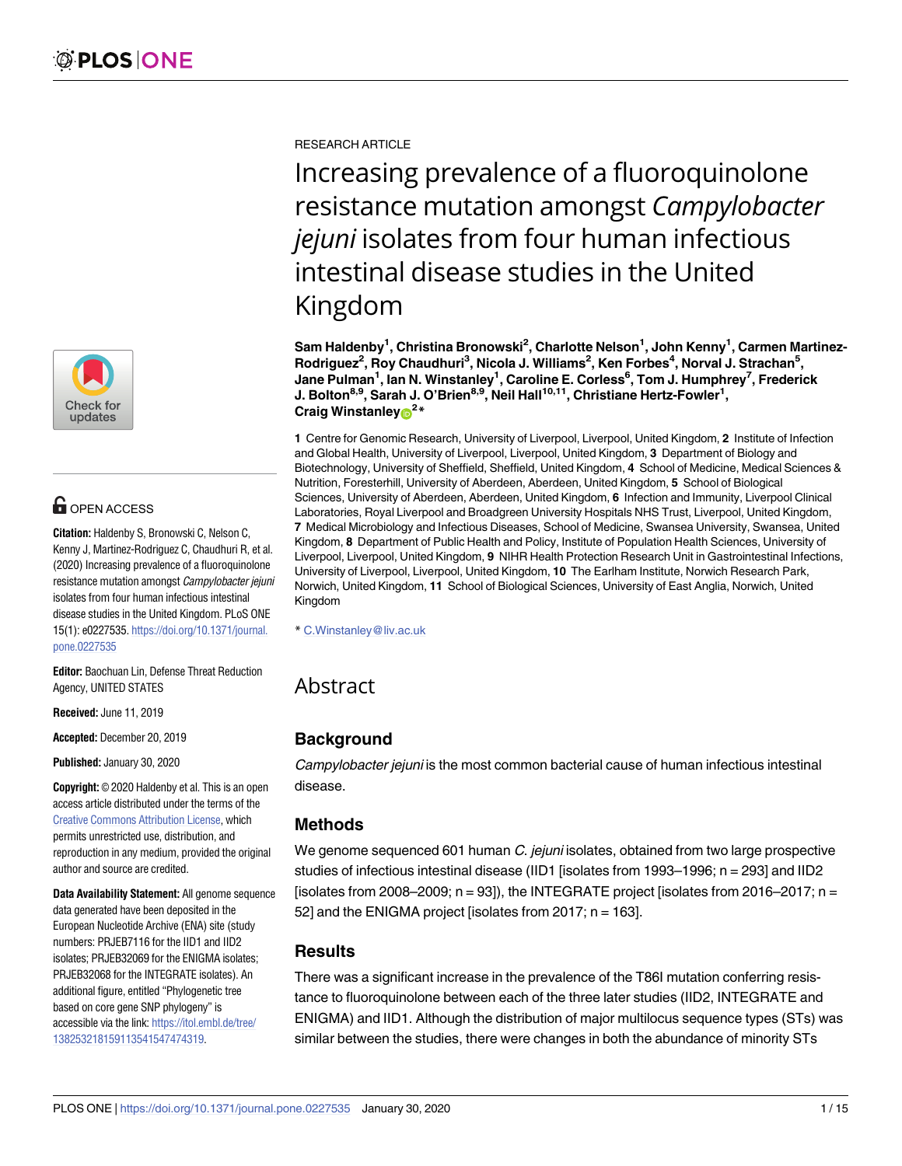

# **OPEN ACCESS**

**Citation:** Haldenby S, Bronowski C, Nelson C, Kenny J, Martinez-Rodriguez C, Chaudhuri R, et al. (2020) Increasing prevalence of a fluoroquinolone resistance mutation amongst Campylobacter jejuni isolates from four human infectious intestinal disease studies in the United Kingdom. PLoS ONE 15(1): e0227535. [https://doi.org/10.1371/journal.](https://doi.org/10.1371/journal.pone.0227535) [pone.0227535](https://doi.org/10.1371/journal.pone.0227535)

**Editor:** Baochuan Lin, Defense Threat Reduction Agency, UNITED STATES

**Received:** June 11, 2019

**Accepted:** December 20, 2019

**Published:** January 30, 2020

**Copyright:** © 2020 Haldenby et al. This is an open access article distributed under the terms of the Creative Commons [Attribution](http://creativecommons.org/licenses/by/4.0/) License, which permits unrestricted use, distribution, and reproduction in any medium, provided the original author and source are credited.

**Data Availability Statement:** All genome sequence data generated have been deposited in the European Nucleotide Archive (ENA) site (study numbers: PRJEB7116 for the IID1 and IID2 isolates; PRJEB32069 for the ENIGMA isolates; PRJEB32068 for the INTEGRATE isolates). An additional figure, entitled "Phylogenetic tree based on core gene SNP phylogeny" is accessible via the link: [https://itol.embl.de/tree/](https://itol.embl.de/tree/138253218159113541547474319) [138253218159113541547474319](https://itol.embl.de/tree/138253218159113541547474319).

RESEARCH ARTICLE

Increasing prevalence of a fluoroquinolone resistance mutation amongst *Campylobacter jejuni* isolates from four human infectious intestinal disease studies in the United Kingdom

 $\mathsf{Sam}\ \mathsf{Haldenby}^1,$  Christina Bronowski<sup>2</sup>, Charlotte Nelson<sup>1</sup>, John Kenny<sup>1</sup>, Carmen Martinez- $R$ odriguez<sup>2</sup>,  $R$ oy Chaudhuri<sup>3</sup>, Nicola J. Williams<sup>2</sup>, Ken Forbes<sup>4</sup>, Norval J. Strachan<sup>5</sup>, **Jane Pulman1 , Ian N. Winstanley1 , Caroline E. Corless6 , Tom J. Humphrey7 , Frederick J. Bolton8,9, Sarah J. O'Brien8,9, Neil Hall10,11, Christiane Hertz-Fowler1 , Craig Winstanley**<sup>2\*</sup>

**1** Centre for Genomic Research, University of Liverpool, Liverpool, United Kingdom, **2** Institute of Infection and Global Health, University of Liverpool, Liverpool, United Kingdom, **3** Department of Biology and Biotechnology, University of Sheffield, Sheffield, United Kingdom, **4** School of Medicine, Medical Sciences & Nutrition, Foresterhill, University of Aberdeen, Aberdeen, United Kingdom, **5** School of Biological Sciences, University of Aberdeen, Aberdeen, United Kingdom, **6** Infection and Immunity, Liverpool Clinical Laboratories, Royal Liverpool and Broadgreen University Hospitals NHS Trust, Liverpool, United Kingdom, **7** Medical Microbiology and Infectious Diseases, School of Medicine, Swansea University, Swansea, United Kingdom, **8** Department of Public Health and Policy, Institute of Population Health Sciences, University of Liverpool, Liverpool, United Kingdom, **9** NIHR Health Protection Research Unit in Gastrointestinal Infections, University of Liverpool, Liverpool, United Kingdom, **10** The Earlham Institute, Norwich Research Park, Norwich, United Kingdom, **11** School of Biological Sciences, University of East Anglia, Norwich, United Kingdom

\* C.Winstanley@liv.ac.uk

## Abstract

## **Background**

Campylobacter jejuni is the most common bacterial cause of human infectious intestinal disease.

## **Methods**

We genome sequenced 601 human C. jejuni isolates, obtained from two large prospective studies of infectious intestinal disease (IID1 [isolates from 1993–1996; n = 293] and IID2 [isolates from 2008–2009;  $n = 93$ ]), the INTEGRATE project [isolates from 2016–2017;  $n =$ 52] and the ENIGMA project [isolates from 2017; n = 163].

## **Results**

There was a significant increase in the prevalence of the T86I mutation conferring resistance to fluoroquinolone between each of the three later studies (IID2, INTEGRATE and ENIGMA) and IID1. Although the distribution of major multilocus sequence types (STs) was similar between the studies, there were changes in both the abundance of minority STs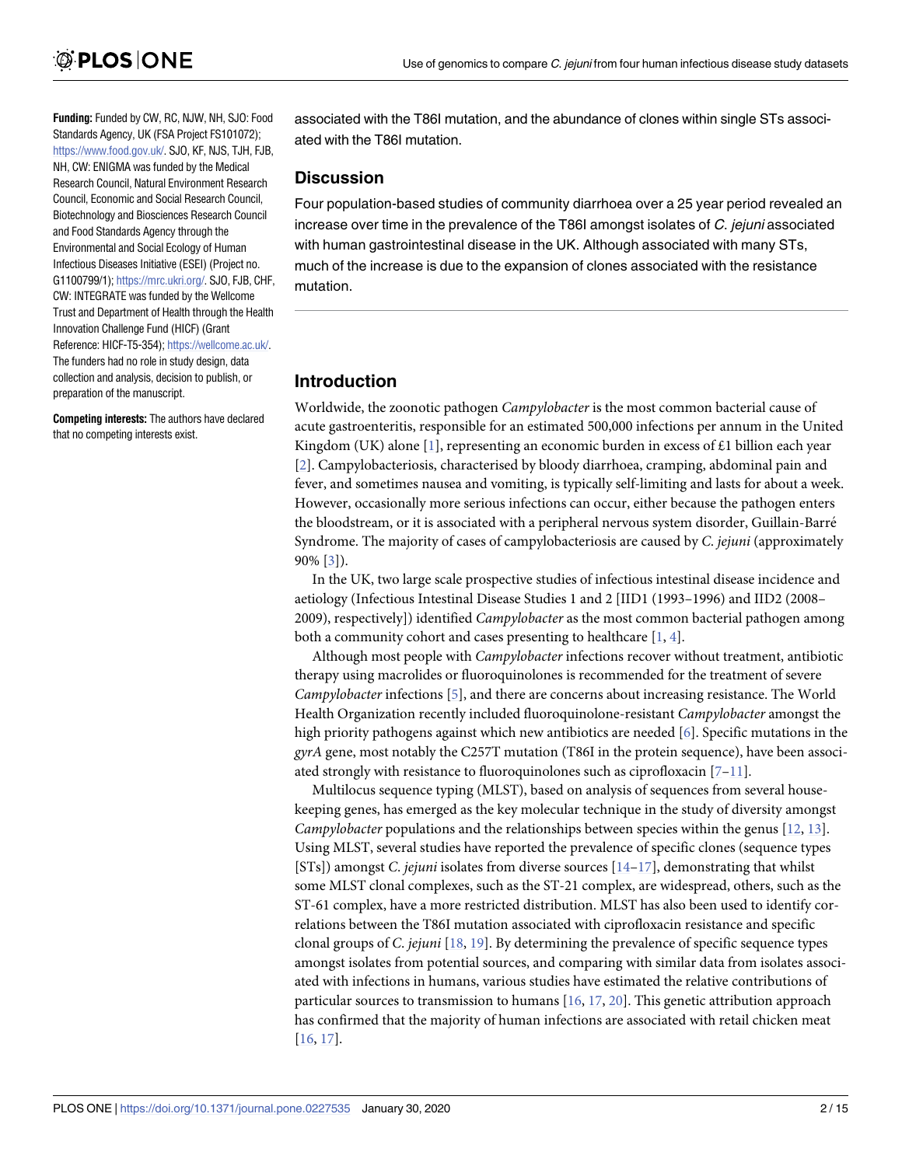<span id="page-1-0"></span>**Funding:** Funded by CW, RC, NJW, NH, SJO: Food Standards Agency, UK (FSA Project FS101072); <https://www.food.gov.uk/>. SJO, KF, NJS, TJH, FJB, NH, CW: ENIGMA was funded by the Medical Research Council, Natural Environment Research Council, Economic and Social Research Council, Biotechnology and Biosciences Research Council and Food Standards Agency through the Environmental and Social Ecology of Human Infectious Diseases Initiative (ESEI) (Project no. G1100799/1); [https://mrc.ukri.org/.](https://mrc.ukri.org/) SJO, FJB, CHF, CW: INTEGRATE was funded by the Wellcome Trust and Department of Health through the Health Innovation Challenge Fund (HICF) (Grant Reference: HICF-T5-354); <https://wellcome.ac.uk/>. The funders had no role in study design, data collection and analysis, decision to publish, or preparation of the manuscript.

**Competing interests:** The authors have declared that no competing interests exist.

associated with the T86I mutation, and the abundance of clones within single STs associated with the T86I mutation.

#### **Discussion**

Four population-based studies of community diarrhoea over a 25 year period revealed an increase over time in the prevalence of the T86I amongst isolates of C. jejuni associated with human gastrointestinal disease in the UK. Although associated with many STs, much of the increase is due to the expansion of clones associated with the resistance mutation.

#### **Introduction**

Worldwide, the zoonotic pathogen *Campylobacter* is the most common bacterial cause of acute gastroenteritis, responsible for an estimated 500,000 infections per annum in the United Kingdom (UK) alone [[1](#page-11-0)], representing an economic burden in excess of  $\pounds$ 1 billion each year [\[2](#page-11-0)]. Campylobacteriosis, characterised by bloody diarrhoea, cramping, abdominal pain and fever, and sometimes nausea and vomiting, is typically self-limiting and lasts for about a week. However, occasionally more serious infections can occur, either because the pathogen enters the bloodstream, or it is associated with a peripheral nervous system disorder, Guillain-Barré Syndrome. The majority of cases of campylobacteriosis are caused by *C*. *jejuni* (approximately 90% [[3](#page-11-0)]).

In the UK, two large scale prospective studies of infectious intestinal disease incidence and aetiology (Infectious Intestinal Disease Studies 1 and 2 [IID1 (1993–1996) and IID2 (2008– 2009), respectively]) identified *Campylobacter* as the most common bacterial pathogen among both a community cohort and cases presenting to healthcare  $[1, 4]$  $[1, 4]$  $[1, 4]$  $[1, 4]$ .

Although most people with *Campylobacter* infections recover without treatment, antibiotic therapy using macrolides or fluoroquinolones is recommended for the treatment of severe *Campylobacter* infections [\[5](#page-12-0)], and there are concerns about increasing resistance. The World Health Organization recently included fluoroquinolone-resistant *Campylobacter* amongst the high priority pathogens against which new antibiotics are needed [\[6\]](#page-12-0). Specific mutations in the *gyrA* gene, most notably the C257T mutation (T86I in the protein sequence), have been associated strongly with resistance to fluoroquinolones such as ciprofloxacin [\[7–11\]](#page-12-0).

Multilocus sequence typing (MLST), based on analysis of sequences from several housekeeping genes, has emerged as the key molecular technique in the study of diversity amongst *Campylobacter* populations and the relationships between species within the genus [\[12,](#page-12-0) [13\]](#page-12-0). Using MLST, several studies have reported the prevalence of specific clones (sequence types [STs]) amongst *C*. *jejuni* isolates from diverse sources [\[14–17\]](#page-12-0), demonstrating that whilst some MLST clonal complexes, such as the ST-21 complex, are widespread, others, such as the ST-61 complex, have a more restricted distribution. MLST has also been used to identify correlations between the T86I mutation associated with ciprofloxacin resistance and specific clonal groups of *C*. *jejuni* [\[18,](#page-12-0) [19\]](#page-12-0). By determining the prevalence of specific sequence types amongst isolates from potential sources, and comparing with similar data from isolates associated with infections in humans, various studies have estimated the relative contributions of particular sources to transmission to humans [\[16,](#page-12-0) [17,](#page-12-0) [20\]](#page-12-0). This genetic attribution approach has confirmed that the majority of human infections are associated with retail chicken meat [\[16,](#page-12-0) [17\]](#page-12-0).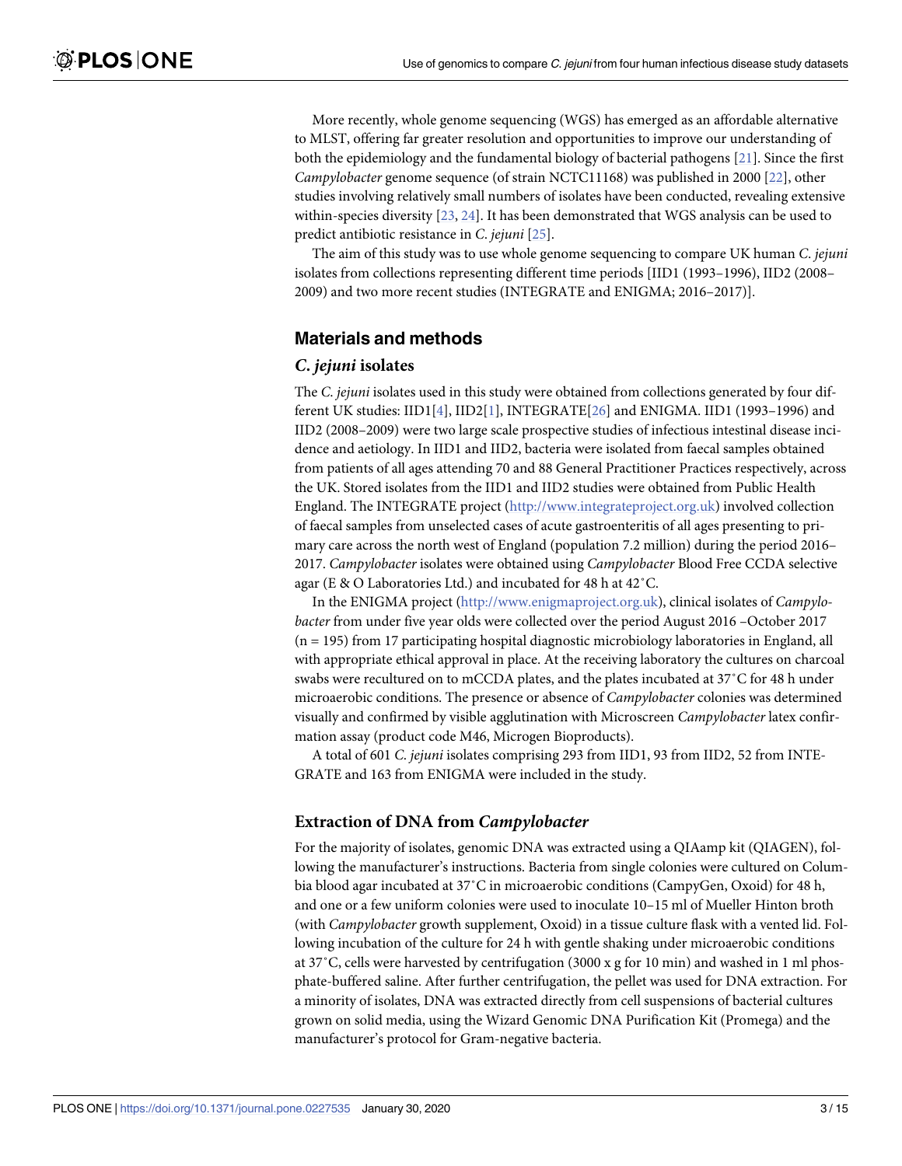<span id="page-2-0"></span>More recently, whole genome sequencing (WGS) has emerged as an affordable alternative to MLST, offering far greater resolution and opportunities to improve our understanding of both the epidemiology and the fundamental biology of bacterial pathogens [[21\]](#page-12-0). Since the first *Campylobacter* genome sequence (of strain NCTC11168) was published in 2000 [\[22\]](#page-12-0), other studies involving relatively small numbers of isolates have been conducted, revealing extensive within-species diversity [\[23,](#page-12-0) [24\]](#page-12-0). It has been demonstrated that WGS analysis can be used to predict antibiotic resistance in *C*. *jejuni* [\[25\]](#page-13-0).

The aim of this study was to use whole genome sequencing to compare UK human *C*. *jejuni* isolates from collections representing different time periods [IID1 (1993–1996), IID2 (2008– 2009) and two more recent studies (INTEGRATE and ENIGMA; 2016–2017)].

#### **Materials and methods**

#### *C***.** *jejuni* **isolates**

The *C*. *jejuni* isolates used in this study were obtained from collections generated by four different UK studies: IID1[\[4](#page-11-0)], IID2[\[1](#page-11-0)], INTEGRATE[[26\]](#page-13-0) and ENIGMA. IID1 (1993–1996) and IID2 (2008–2009) were two large scale prospective studies of infectious intestinal disease incidence and aetiology. In IID1 and IID2, bacteria were isolated from faecal samples obtained from patients of all ages attending 70 and 88 General Practitioner Practices respectively, across the UK. Stored isolates from the IID1 and IID2 studies were obtained from Public Health England. The INTEGRATE project [\(http://www.integrateproject.org.uk\)](http://www.integrateproject.org.uk) involved collection of faecal samples from unselected cases of acute gastroenteritis of all ages presenting to primary care across the north west of England (population 7.2 million) during the period 2016– 2017. *Campylobacter* isolates were obtained using *Campylobacter* Blood Free CCDA selective agar (E & O Laboratories Ltd.) and incubated for 48 h at 42˚C.

In the ENIGMA project ([http://www.enigmaproject.org.uk\)](http://www.enigmaproject.org.uk), clinical isolates of *Campylobacter* from under five year olds were collected over the period August 2016 –October 2017 (n = 195) from 17 participating hospital diagnostic microbiology laboratories in England, all with appropriate ethical approval in place. At the receiving laboratory the cultures on charcoal swabs were recultured on to mCCDA plates, and the plates incubated at 37˚C for 48 h under microaerobic conditions. The presence or absence of *Campylobacter* colonies was determined visually and confirmed by visible agglutination with Microscreen *Campylobacter* latex confirmation assay (product code M46, Microgen Bioproducts).

A total of 601 *C*. *jejuni* isolates comprising 293 from IID1, 93 from IID2, 52 from INTE-GRATE and 163 from ENIGMA were included in the study.

#### **Extraction of DNA from** *Campylobacter*

For the majority of isolates, genomic DNA was extracted using a QIAamp kit (QIAGEN), following the manufacturer's instructions. Bacteria from single colonies were cultured on Columbia blood agar incubated at 37˚C in microaerobic conditions (CampyGen, Oxoid) for 48 h, and one or a few uniform colonies were used to inoculate 10–15 ml of Mueller Hinton broth (with *Campylobacter* growth supplement, Oxoid) in a tissue culture flask with a vented lid. Following incubation of the culture for 24 h with gentle shaking under microaerobic conditions at 37˚C, cells were harvested by centrifugation (3000 x g for 10 min) and washed in 1 ml phosphate-buffered saline. After further centrifugation, the pellet was used for DNA extraction. For a minority of isolates, DNA was extracted directly from cell suspensions of bacterial cultures grown on solid media, using the Wizard Genomic DNA Purification Kit (Promega) and the manufacturer's protocol for Gram-negative bacteria.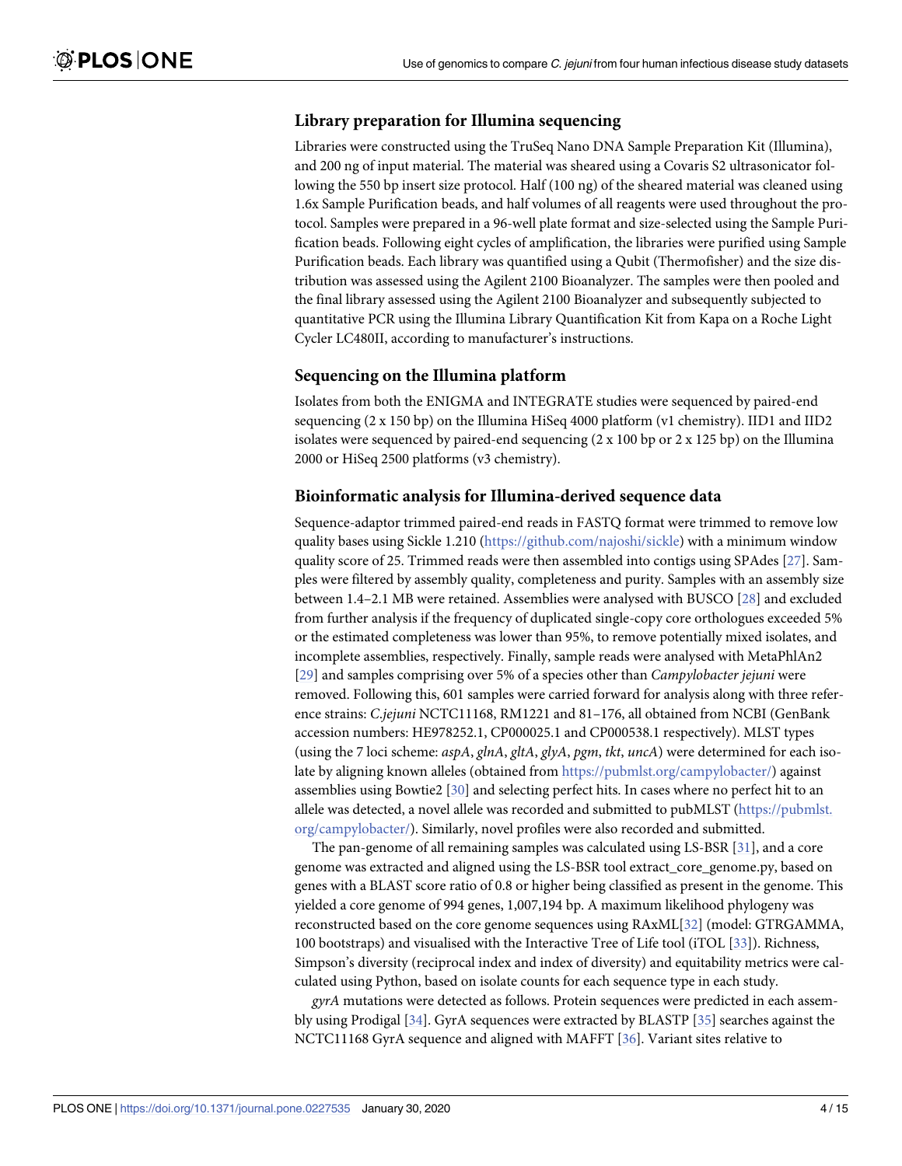#### <span id="page-3-0"></span>**Library preparation for Illumina sequencing**

Libraries were constructed using the TruSeq Nano DNA Sample Preparation Kit (Illumina), and 200 ng of input material. The material was sheared using a Covaris S2 ultrasonicator following the 550 bp insert size protocol. Half (100 ng) of the sheared material was cleaned using 1.6x Sample Purification beads, and half volumes of all reagents were used throughout the protocol. Samples were prepared in a 96-well plate format and size-selected using the Sample Purification beads. Following eight cycles of amplification, the libraries were purified using Sample Purification beads. Each library was quantified using a Qubit (Thermofisher) and the size distribution was assessed using the Agilent 2100 Bioanalyzer. The samples were then pooled and the final library assessed using the Agilent 2100 Bioanalyzer and subsequently subjected to quantitative PCR using the Illumina Library Quantification Kit from Kapa on a Roche Light Cycler LC480II, according to manufacturer's instructions.

#### **Sequencing on the Illumina platform**

Isolates from both the ENIGMA and INTEGRATE studies were sequenced by paired-end sequencing (2 x 150 bp) on the Illumina HiSeq 4000 platform (v1 chemistry). IID1 and IID2 isolates were sequenced by paired-end sequencing  $(2 \times 100$  bp or  $2 \times 125$  bp) on the Illumina 2000 or HiSeq 2500 platforms (v3 chemistry).

#### **Bioinformatic analysis for Illumina-derived sequence data**

Sequence-adaptor trimmed paired-end reads in FASTQ format were trimmed to remove low quality bases using Sickle 1.210 (<https://github.com/najoshi/sickle>) with a minimum window quality score of 25. Trimmed reads were then assembled into contigs using SPAdes [\[27\]](#page-13-0). Samples were filtered by assembly quality, completeness and purity. Samples with an assembly size between 1.4–2.1 MB were retained. Assemblies were analysed with BUSCO [[28](#page-13-0)] and excluded from further analysis if the frequency of duplicated single-copy core orthologues exceeded 5% or the estimated completeness was lower than 95%, to remove potentially mixed isolates, and incomplete assemblies, respectively. Finally, sample reads were analysed with MetaPhlAn2 [\[29\]](#page-13-0) and samples comprising over 5% of a species other than *Campylobacter jejuni* were removed. Following this, 601 samples were carried forward for analysis along with three reference strains: *C*.*jejuni* NCTC11168, RM1221 and 81–176, all obtained from NCBI (GenBank accession numbers: HE978252.1, CP000025.1 and CP000538.1 respectively). MLST types (using the 7 loci scheme: *aspA*, *glnA*, *gltA*, *glyA*, *pgm*, *tkt*, *uncA*) were determined for each isolate by aligning known alleles (obtained from [https://pubmlst.org/campylobacter/\)](https://pubmlst.org/campylobacter/) against assemblies using Bowtie2 [\[30\]](#page-13-0) and selecting perfect hits. In cases where no perfect hit to an allele was detected, a novel allele was recorded and submitted to pubMLST ([https://pubmlst.](https://pubmlst.org/campylobacter/) [org/campylobacter/\)](https://pubmlst.org/campylobacter/). Similarly, novel profiles were also recorded and submitted.

The pan-genome of all remaining samples was calculated using LS-BSR [\[31\]](#page-13-0), and a core genome was extracted and aligned using the LS-BSR tool extract\_core\_genome.py, based on genes with a BLAST score ratio of 0.8 or higher being classified as present in the genome. This yielded a core genome of 994 genes, 1,007,194 bp. A maximum likelihood phylogeny was reconstructed based on the core genome sequences using RAxML[\[32\]](#page-13-0) (model: GTRGAMMA, 100 bootstraps) and visualised with the Interactive Tree of Life tool (iTOL [\[33\]](#page-13-0)). Richness, Simpson's diversity (reciprocal index and index of diversity) and equitability metrics were calculated using Python, based on isolate counts for each sequence type in each study.

*gyrA* mutations were detected as follows. Protein sequences were predicted in each assembly using Prodigal [[34](#page-13-0)]. GyrA sequences were extracted by BLASTP [[35](#page-13-0)] searches against the NCTC11168 GyrA sequence and aligned with MAFFT [\[36\]](#page-13-0). Variant sites relative to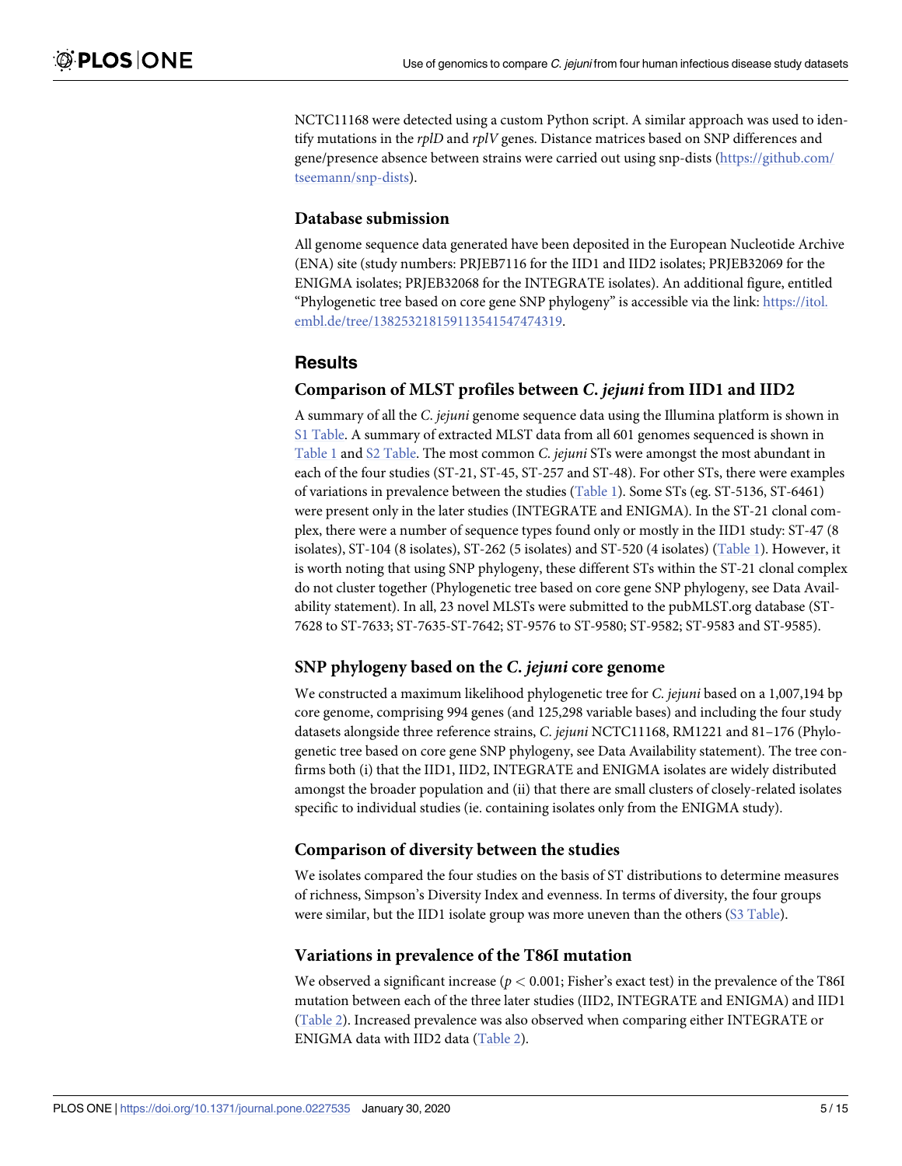<span id="page-4-0"></span>NCTC11168 were detected using a custom Python script. A similar approach was used to identify mutations in the *rplD* and *rplV* genes. Distance matrices based on SNP differences and gene/presence absence between strains were carried out using snp-dists ([https://github.com/](https://github.com/tseemann/snp-dists) [tseemann/snp-dists\)](https://github.com/tseemann/snp-dists).

#### **Database submission**

All genome sequence data generated have been deposited in the European Nucleotide Archive (ENA) site (study numbers: PRJEB7116 for the IID1 and IID2 isolates; PRJEB32069 for the ENIGMA isolates; PRJEB32068 for the INTEGRATE isolates). An additional figure, entitled "Phylogenetic tree based on core gene SNP phylogeny" is accessible via the link: [https://itol.](https://itol.embl.de/tree/138253218159113541547474319) [embl.de/tree/138253218159113541547474319.](https://itol.embl.de/tree/138253218159113541547474319)

#### **Results**

#### **Comparison of MLST profiles between** *C***.** *jejuni* **from IID1 and IID2**

A summary of all the *C*. *jejuni* genome sequence data using the Illumina platform is shown in S1 [Table.](#page-10-0) A summary of extracted MLST data from all 601 genomes sequenced is shown in [Table](#page-5-0) 1 and S2 [Table.](#page-10-0) The most common *C*. *jejuni* STs were amongst the most abundant in each of the four studies (ST-21, ST-45, ST-257 and ST-48). For other STs, there were examples of variations in prevalence between the studies [\(Table](#page-5-0) 1). Some STs (eg. ST-5136, ST-6461) were present only in the later studies (INTEGRATE and ENIGMA). In the ST-21 clonal complex, there were a number of sequence types found only or mostly in the IID1 study: ST-47 (8 isolates), ST-104 (8 isolates), ST-262 (5 isolates) and ST-520 (4 isolates) [\(Table](#page-5-0) 1). However, it is worth noting that using SNP phylogeny, these different STs within the ST-21 clonal complex do not cluster together (Phylogenetic tree based on core gene SNP phylogeny, see Data Availability statement). In all, 23 novel MLSTs were submitted to the pubMLST.org database (ST-7628 to ST-7633; ST-7635-ST-7642; ST-9576 to ST-9580; ST-9582; ST-9583 and ST-9585).

#### **SNP phylogeny based on the** *C***.** *jejuni* **core genome**

We constructed a maximum likelihood phylogenetic tree for *C*. *jejuni* based on a 1,007,194 bp core genome, comprising 994 genes (and 125,298 variable bases) and including the four study datasets alongside three reference strains, *C*. *jejuni* NCTC11168, RM1221 and 81–176 (Phylogenetic tree based on core gene SNP phylogeny, see Data Availability statement). The tree confirms both (i) that the IID1, IID2, INTEGRATE and ENIGMA isolates are widely distributed amongst the broader population and (ii) that there are small clusters of closely-related isolates specific to individual studies (ie. containing isolates only from the ENIGMA study).

#### **Comparison of diversity between the studies**

We isolates compared the four studies on the basis of ST distributions to determine measures of richness, Simpson's Diversity Index and evenness. In terms of diversity, the four groups were similar, but the IID1 isolate group was more uneven than the others (S3 [Table\)](#page-10-0).

#### **Variations in prevalence of the T86I mutation**

We observed a significant increase (*p <* 0.001; Fisher's exact test) in the prevalence of the T86I mutation between each of the three later studies (IID2, INTEGRATE and ENIGMA) and IID1 [\(Table](#page-6-0) 2). Increased prevalence was also observed when comparing either INTEGRATE or ENIGMA data with IID2 data [\(Table](#page-6-0) 2).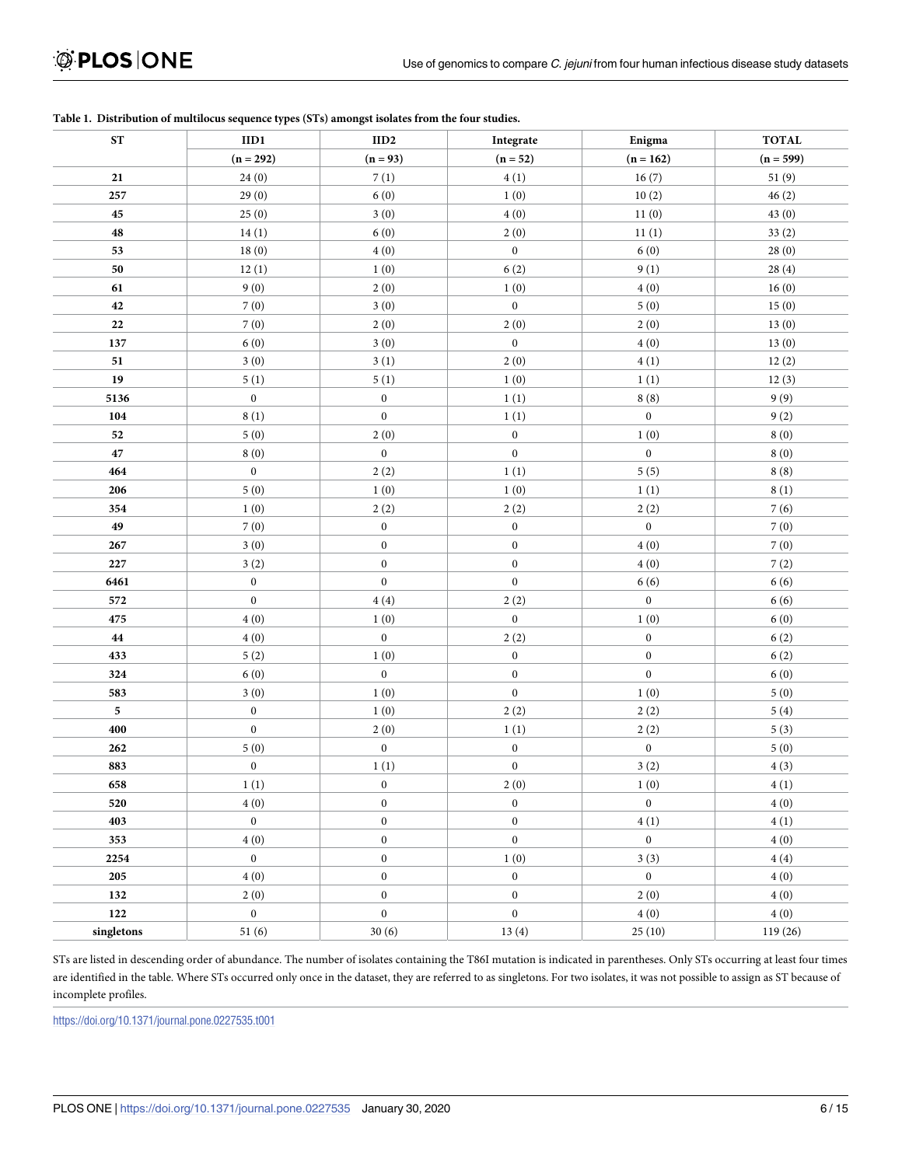<span id="page-5-0"></span>

| Table 1. Distribution of multilocus sequence types (STs) amongst isolates from the four studies. |  |
|--------------------------------------------------------------------------------------------------|--|
|--------------------------------------------------------------------------------------------------|--|

| <b>ST</b>  | $\rm{IID1}$      | IID2             | Integrate        | Enigma           | <b>TOTAL</b> |
|------------|------------------|------------------|------------------|------------------|--------------|
|            | $(n = 292)$      | $(n = 93)$       | $(n = 52)$       | $(n = 162)$      | $(n = 599)$  |
| $\bf{21}$  | 24(0)            | 7(1)             | 4(1)             | 16(7)            | 51(9)        |
| 257        | 29(0)            | 6(0)             | 1(0)             | 10(2)            | 46(2)        |
| 45         | 25(0)            | 3(0)             | 4(0)             | 11(0)            | 43(0)        |
| 48         | 14(1)            | $6(0)$           | $2\ (0)$         | 11(1)            | 33(2)        |
| 53         | 18(0)            | $4(0)$           | $\boldsymbol{0}$ | 6(0)             | 28(0)        |
| ${\bf 50}$ | 12(1)            | 1(0)             | 6(2)             | 9(1)             | 28(4)        |
| 61         | 9(0)             | $2\ (0)$         | $1\ (0)$         | 4(0)             | 16(0)        |
| $\bf{42}$  | 7(0)             | 3(0)             | $\boldsymbol{0}$ | 5(0)             | 15(0)        |
| $\bf{22}$  | 7(0)             | 2(0)             | 2(0)             | 2(0)             | 13(0)        |
| 137        | $6(0)$           | 3(0)             | $\boldsymbol{0}$ | 4(0)             | 13(0)        |
| 51         | 3(0)             | 3(1)             | 2(0)             | 4(1)             | 12(2)        |
| 19         | 5(1)             | $5(1)$           | $1\ (0)$         | 1(1)             | 12(3)        |
| 5136       | $\boldsymbol{0}$ | $\boldsymbol{0}$ | 1(1)             | 8(8)             | 9(9)         |
| 104        | 8(1)             | $\boldsymbol{0}$ | 1(1)             | $\boldsymbol{0}$ | 9(2)         |
| 52         | 5(0)             | 2(0)             | $\boldsymbol{0}$ | 1(0)             | 8(0)         |
| 47         | 8(0)             | $\boldsymbol{0}$ | $\boldsymbol{0}$ | $\boldsymbol{0}$ | 8(0)         |
| 464        | $\boldsymbol{0}$ | 2(2)             | 1(1)             | 5(5)             | 8(8)         |
| 206        | 5(0)             | 1(0)             | $1\ (0)$         | 1(1)             | 8(1)         |
| 354        | 1(0)             | 2(2)             | 2(2)             | 2(2)             | 7(6)         |
| 49         | 7(0)             | $\boldsymbol{0}$ | $\boldsymbol{0}$ | $\boldsymbol{0}$ | 7(0)         |
| 267        | 3(0)             | $\boldsymbol{0}$ | $\boldsymbol{0}$ | 4(0)             | 7(0)         |
| 227        | 3(2)             | $\boldsymbol{0}$ | $\boldsymbol{0}$ | 4(0)             | 7(2)         |
| 6461       | $\boldsymbol{0}$ | $\boldsymbol{0}$ | $\boldsymbol{0}$ | 6(6)             | 6(6)         |
| 572        | $\boldsymbol{0}$ | 4(4)             | 2(2)             | $\boldsymbol{0}$ | 6(6)         |
| 475        | 4(0)             | 1(0)             | $\boldsymbol{0}$ | 1(0)             | 6(0)         |
| 44         | 4(0)             | $\boldsymbol{0}$ | 2(2)             | $\boldsymbol{0}$ | 6(2)         |
| 433        | 5(2)             | 1(0)             | $\boldsymbol{0}$ | $\boldsymbol{0}$ | 6(2)         |
| 324        | $6(0)$           | $\boldsymbol{0}$ | $\boldsymbol{0}$ | $\boldsymbol{0}$ | 6(0)         |
| 583        | 3(0)             | 1(0)             | $\boldsymbol{0}$ | 1(0)             | 5(0)         |
| 5          | $\boldsymbol{0}$ | 1(0)             | 2(2)             | 2(2)             | 5(4)         |
| 400        | $\boldsymbol{0}$ | $2\ (0)$         | 1(1)             | 2(2)             | 5(3)         |
| 262        | 5(0)             | $\boldsymbol{0}$ | $\boldsymbol{0}$ | $\boldsymbol{0}$ | 5(0)         |
| 883        | $\boldsymbol{0}$ | 1(1)             | $\boldsymbol{0}$ | 3(2)             | 4(3)         |
| 658        | $1\ (1)$         | $\boldsymbol{0}$ | 2(0)             | 1(0)             | 4(1)         |
| 520        | 4(0)             | $\boldsymbol{0}$ | $\boldsymbol{0}$ | $\boldsymbol{0}$ | 4(0)         |
| 403        | $\boldsymbol{0}$ | $\boldsymbol{0}$ | $\boldsymbol{0}$ | 4(1)             | 4(1)         |
| 353        | 4(0)             | $\boldsymbol{0}$ | $\boldsymbol{0}$ | $\mathbf{0}$     | 4(0)         |
| 2254       | $\mathbf{0}$     | $\boldsymbol{0}$ | 1(0)             | 3(3)             | 4(4)         |
| 205        | 4(0)             | $\boldsymbol{0}$ | $\mathbf{0}$     | $\overline{0}$   | 4(0)         |
| 132        | 2(0)             | $\boldsymbol{0}$ | $\boldsymbol{0}$ | 2(0)             | 4(0)         |
| 122        | $\boldsymbol{0}$ | $\boldsymbol{0}$ | $\boldsymbol{0}$ | 4(0)             | 4(0)         |
| singletons | 51(6)            | 30(6)            | 13(4)            | 25(10)           | 119(26)      |

STs are listed in descending order of abundance. The number of isolates containing the T86I mutation is indicated in parentheses. Only STs occurring at least four times are identified in the table. Where STs occurred only once in the dataset, they are referred to as singletons. For two isolates, it was not possible to assign as ST because of incomplete profiles.

<https://doi.org/10.1371/journal.pone.0227535.t001>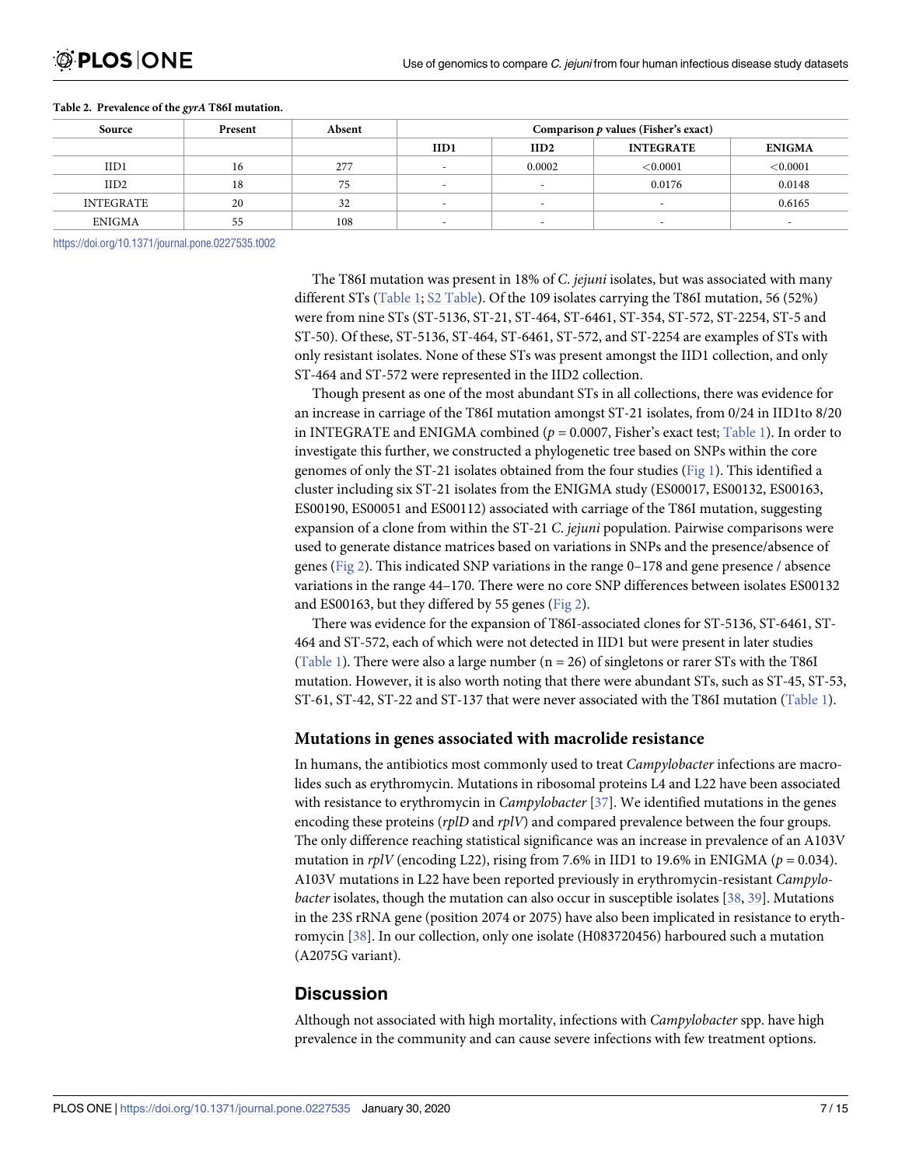<span id="page-6-0"></span>

| Table 2. Prevalence of the gyrA T86I mutation. |
|------------------------------------------------|
|                                                |

| Source    | Present | Absent | Comparison $p$ values (Fisher's exact) |                          |                          |                          |
|-----------|---------|--------|----------------------------------------|--------------------------|--------------------------|--------------------------|
|           |         |        | IID1                                   | IID2                     | <b>INTEGRATE</b>         | <b>ENIGMA</b>            |
| IID1      | 16      | 277    |                                        | 0.0002                   | < 0.0001                 | ${<}0.0001$              |
| IID2      | 18      | 75     |                                        | -                        | 0.0176                   | 0.0148                   |
| INTEGRATE | 20      | 32     |                                        | -                        | $\overline{\phantom{a}}$ | 0.6165                   |
| ENIGMA    | 55      | 108    |                                        | $\overline{\phantom{a}}$ | $\overline{\phantom{0}}$ | $\overline{\phantom{a}}$ |

<https://doi.org/10.1371/journal.pone.0227535.t002>

The T86I mutation was present in 18% of *C*. *jejuni* isolates, but was associated with many different STs ([Table](#page-5-0) 1; S2 [Table](#page-10-0)). Of the 109 isolates carrying the T86I mutation, 56 (52%) were from nine STs (ST-5136, ST-21, ST-464, ST-6461, ST-354, ST-572, ST-2254, ST-5 and ST-50). Of these, ST-5136, ST-464, ST-6461, ST-572, and ST-2254 are examples of STs with only resistant isolates. None of these STs was present amongst the IID1 collection, and only ST-464 and ST-572 were represented in the IID2 collection.

Though present as one of the most abundant STs in all collections, there was evidence for an increase in carriage of the T86I mutation amongst ST-21 isolates, from 0/24 in IID1to 8/20 in INTEGRATE and ENIGMA combined ( $p = 0.0007$ , Fisher's exact test; [Table](#page-5-0) 1). In order to investigate this further, we constructed a phylogenetic tree based on SNPs within the core genomes of only the ST-21 isolates obtained from the four studies [\(Fig](#page-7-0) 1). This identified a cluster including six ST-21 isolates from the ENIGMA study (ES00017, ES00132, ES00163, ES00190, ES00051 and ES00112) associated with carriage of the T86I mutation, suggesting expansion of a clone from within the ST-21 *C*. *jejuni* population. Pairwise comparisons were used to generate distance matrices based on variations in SNPs and the presence/absence of genes ([Fig](#page-8-0) 2). This indicated SNP variations in the range 0–178 and gene presence / absence variations in the range 44–170. There were no core SNP differences between isolates ES00132 and ES00163, but they differed by 55 genes [\(Fig](#page-8-0) 2).

There was evidence for the expansion of T86I-associated clones for ST-5136, ST-6461, ST-464 and ST-572, each of which were not detected in IID1 but were present in later studies [\(Table](#page-5-0) 1). There were also a large number  $(n = 26)$  of singletons or rarer STs with the T86I mutation. However, it is also worth noting that there were abundant STs, such as ST-45, ST-53, ST-61, ST-42, ST-22 and ST-137 that were never associated with the T86I mutation [\(Table](#page-5-0) 1).

#### **Mutations in genes associated with macrolide resistance**

In humans, the antibiotics most commonly used to treat *Campylobacter* infections are macrolides such as erythromycin. Mutations in ribosomal proteins L4 and L22 have been associated with resistance to erythromycin in *Campylobacter* [[37](#page-13-0)]. We identified mutations in the genes encoding these proteins (*rplD* and *rplV*) and compared prevalence between the four groups. The only difference reaching statistical significance was an increase in prevalence of an A103V mutation in *rplV* (encoding L22), rising from 7.6% in IID1 to 19.6% in ENIGMA ( $p = 0.034$ ). A103V mutations in L22 have been reported previously in erythromycin-resistant *Campylobacter* isolates, though the mutation can also occur in susceptible isolates [[38](#page-13-0), [39](#page-13-0)]. Mutations in the 23S rRNA gene (position 2074 or 2075) have also been implicated in resistance to erythromycin [[38](#page-13-0)]. In our collection, only one isolate (H083720456) harboured such a mutation (A2075G variant).

#### **Discussion**

Although not associated with high mortality, infections with *Campylobacter* spp. have high prevalence in the community and can cause severe infections with few treatment options.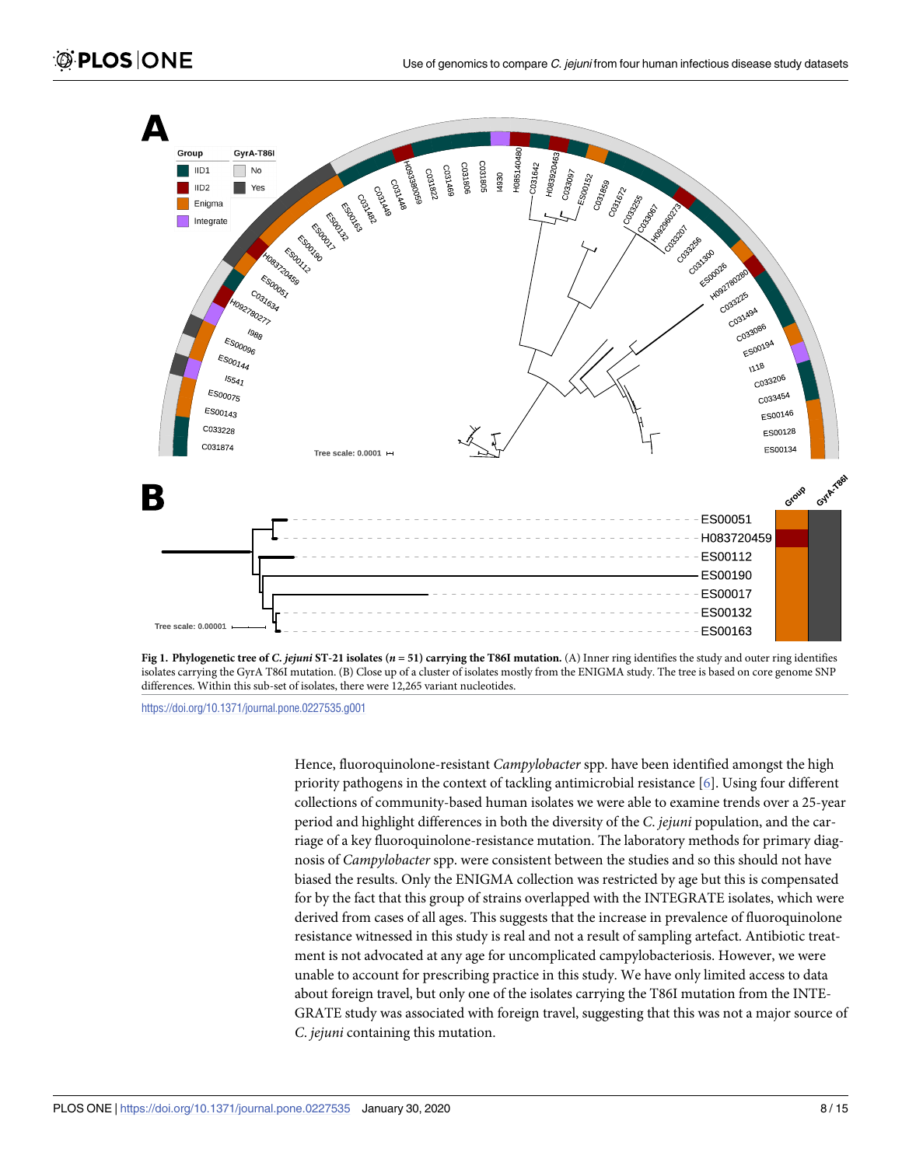<span id="page-7-0"></span>



<https://doi.org/10.1371/journal.pone.0227535.g001>

Hence, fluoroquinolone-resistant *Campylobacter* spp. have been identified amongst the high priority pathogens in the context of tackling antimicrobial resistance [[6](#page-12-0)]. Using four different collections of community-based human isolates we were able to examine trends over a 25-year period and highlight differences in both the diversity of the *C*. *jejuni* population, and the carriage of a key fluoroquinolone-resistance mutation. The laboratory methods for primary diagnosis of *Campylobacter* spp. were consistent between the studies and so this should not have biased the results. Only the ENIGMA collection was restricted by age but this is compensated for by the fact that this group of strains overlapped with the INTEGRATE isolates, which were derived from cases of all ages. This suggests that the increase in prevalence of fluoroquinolone resistance witnessed in this study is real and not a result of sampling artefact. Antibiotic treatment is not advocated at any age for uncomplicated campylobacteriosis. However, we were unable to account for prescribing practice in this study. We have only limited access to data about foreign travel, but only one of the isolates carrying the T86I mutation from the INTE-GRATE study was associated with foreign travel, suggesting that this was not a major source of *C*. *jejuni* containing this mutation.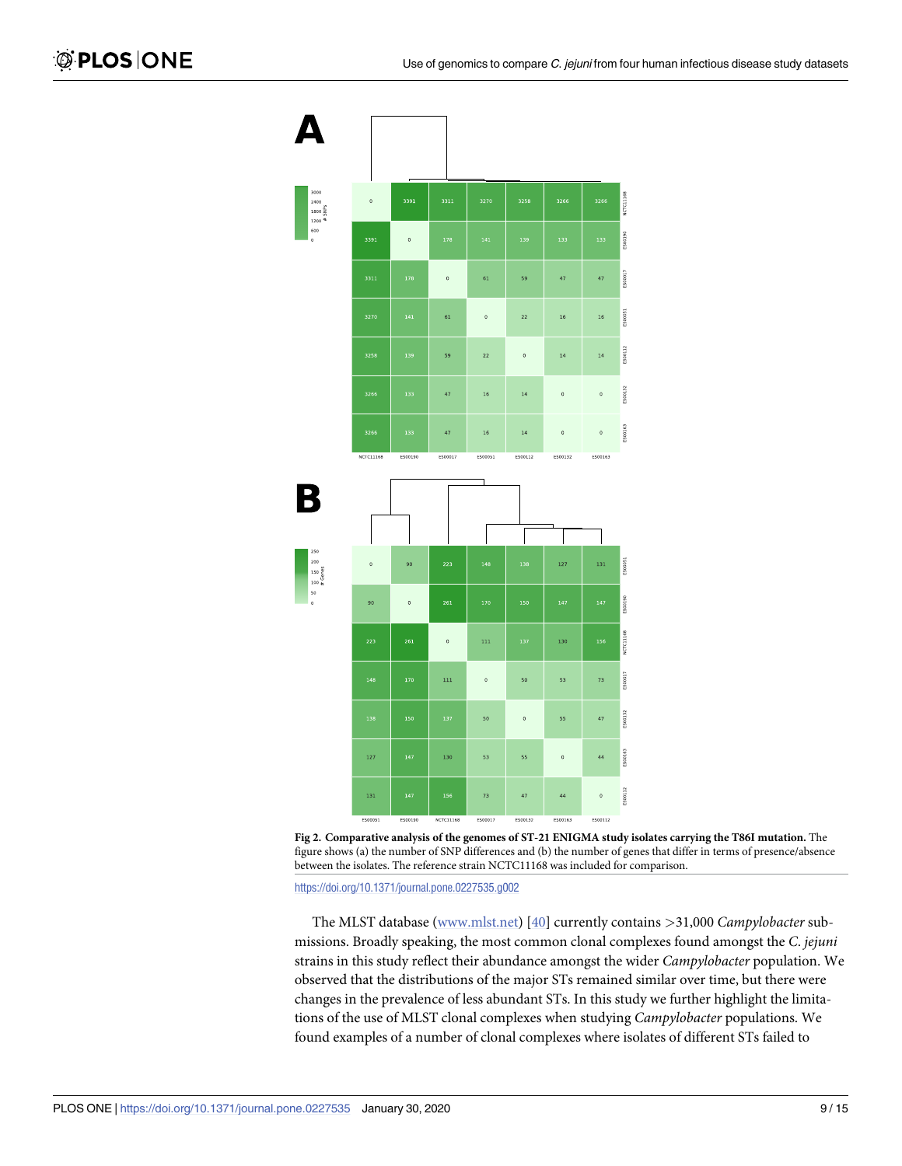<span id="page-8-0"></span>

**[Fig](#page-6-0) 2. Comparative analysis of the genomes of ST-21 ENIGMA study isolates carrying the T86I mutation.** The figure shows (a) the number of SNP differences and (b) the number of genes that differ in terms of presence/absence between the isolates. The reference strain NCTC11168 was included for comparison.

<https://doi.org/10.1371/journal.pone.0227535.g002>

The MLST database [\(www.mlst.net\)](http://www.mlst.net) [[40](#page-13-0)] currently contains *>*31,000 *Campylobacter* submissions. Broadly speaking, the most common clonal complexes found amongst the *C*. *jejuni* strains in this study reflect their abundance amongst the wider *Campylobacter* population. We observed that the distributions of the major STs remained similar over time, but there were changes in the prevalence of less abundant STs. In this study we further highlight the limitations of the use of MLST clonal complexes when studying *Campylobacter* populations. We found examples of a number of clonal complexes where isolates of different STs failed to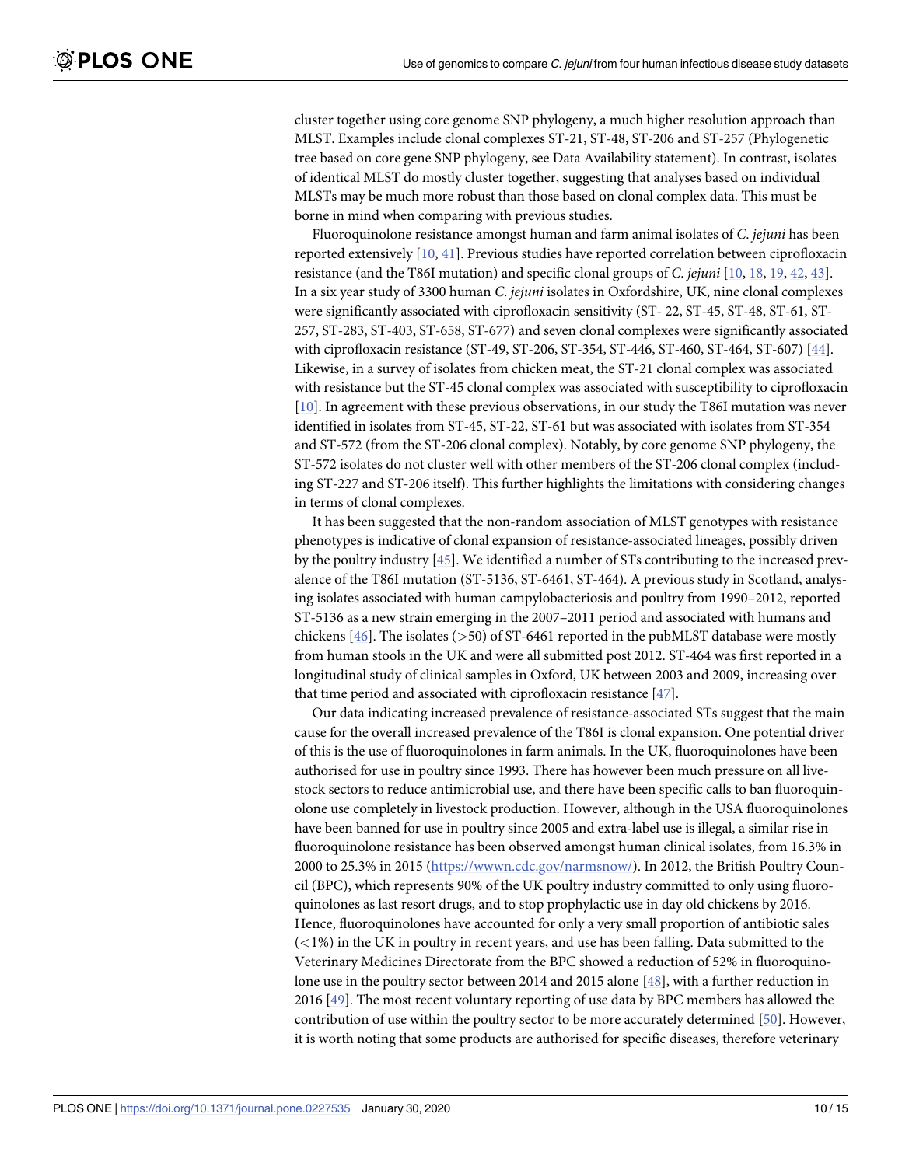<span id="page-9-0"></span>cluster together using core genome SNP phylogeny, a much higher resolution approach than MLST. Examples include clonal complexes ST-21, ST-48, ST-206 and ST-257 (Phylogenetic tree based on core gene SNP phylogeny, see Data Availability statement). In contrast, isolates of identical MLST do mostly cluster together, suggesting that analyses based on individual MLSTs may be much more robust than those based on clonal complex data. This must be borne in mind when comparing with previous studies.

Fluoroquinolone resistance amongst human and farm animal isolates of *C*. *jejuni* has been reported extensively [[10](#page-12-0), [41](#page-13-0)]. Previous studies have reported correlation between ciprofloxacin resistance (and the T86I mutation) and specific clonal groups of *C*. *jejuni* [[10](#page-12-0), [18](#page-12-0), [19](#page-12-0), [42](#page-13-0), [43](#page-13-0)]. In a six year study of 3300 human *C*. *jejuni* isolates in Oxfordshire, UK, nine clonal complexes were significantly associated with ciprofloxacin sensitivity (ST- 22, ST-45, ST-48, ST-61, ST-257, ST-283, ST-403, ST-658, ST-677) and seven clonal complexes were significantly associated with ciprofloxacin resistance (ST-49, ST-206, ST-354, ST-446, ST-460, ST-464, ST-607) [\[44\]](#page-13-0). Likewise, in a survey of isolates from chicken meat, the ST-21 clonal complex was associated with resistance but the ST-45 clonal complex was associated with susceptibility to ciprofloxacin [\[10\]](#page-12-0). In agreement with these previous observations, in our study the T86I mutation was never identified in isolates from ST-45, ST-22, ST-61 but was associated with isolates from ST-354 and ST-572 (from the ST-206 clonal complex). Notably, by core genome SNP phylogeny, the ST-572 isolates do not cluster well with other members of the ST-206 clonal complex (including ST-227 and ST-206 itself). This further highlights the limitations with considering changes in terms of clonal complexes.

It has been suggested that the non-random association of MLST genotypes with resistance phenotypes is indicative of clonal expansion of resistance-associated lineages, possibly driven by the poultry industry [[45](#page-14-0)]. We identified a number of STs contributing to the increased prevalence of the T86I mutation (ST-5136, ST-6461, ST-464). A previous study in Scotland, analysing isolates associated with human campylobacteriosis and poultry from 1990–2012, reported ST-5136 as a new strain emerging in the 2007–2011 period and associated with humans and chickens [\[46\]](#page-14-0). The isolates (*>*50) of ST-6461 reported in the pubMLST database were mostly from human stools in the UK and were all submitted post 2012. ST-464 was first reported in a longitudinal study of clinical samples in Oxford, UK between 2003 and 2009, increasing over that time period and associated with ciprofloxacin resistance [[47](#page-14-0)].

Our data indicating increased prevalence of resistance-associated STs suggest that the main cause for the overall increased prevalence of the T86I is clonal expansion. One potential driver of this is the use of fluoroquinolones in farm animals. In the UK, fluoroquinolones have been authorised for use in poultry since 1993. There has however been much pressure on all livestock sectors to reduce antimicrobial use, and there have been specific calls to ban fluoroquinolone use completely in livestock production. However, although in the USA fluoroquinolones have been banned for use in poultry since 2005 and extra-label use is illegal, a similar rise in fluoroquinolone resistance has been observed amongst human clinical isolates, from 16.3% in 2000 to 25.3% in 2015 ([https://wwwn.cdc.gov/narmsnow/\)](https://wwwn.cdc.gov/narmsnow/). In 2012, the British Poultry Council (BPC), which represents 90% of the UK poultry industry committed to only using fluoroquinolones as last resort drugs, and to stop prophylactic use in day old chickens by 2016. Hence, fluoroquinolones have accounted for only a very small proportion of antibiotic sales (*<*1%) in the UK in poultry in recent years, and use has been falling. Data submitted to the Veterinary Medicines Directorate from the BPC showed a reduction of 52% in fluoroquinolone use in the poultry sector between 2014 and 2015 alone [[48](#page-14-0)], with a further reduction in 2016 [[49](#page-14-0)]. The most recent voluntary reporting of use data by BPC members has allowed the contribution of use within the poultry sector to be more accurately determined [\[50\]](#page-14-0). However, it is worth noting that some products are authorised for specific diseases, therefore veterinary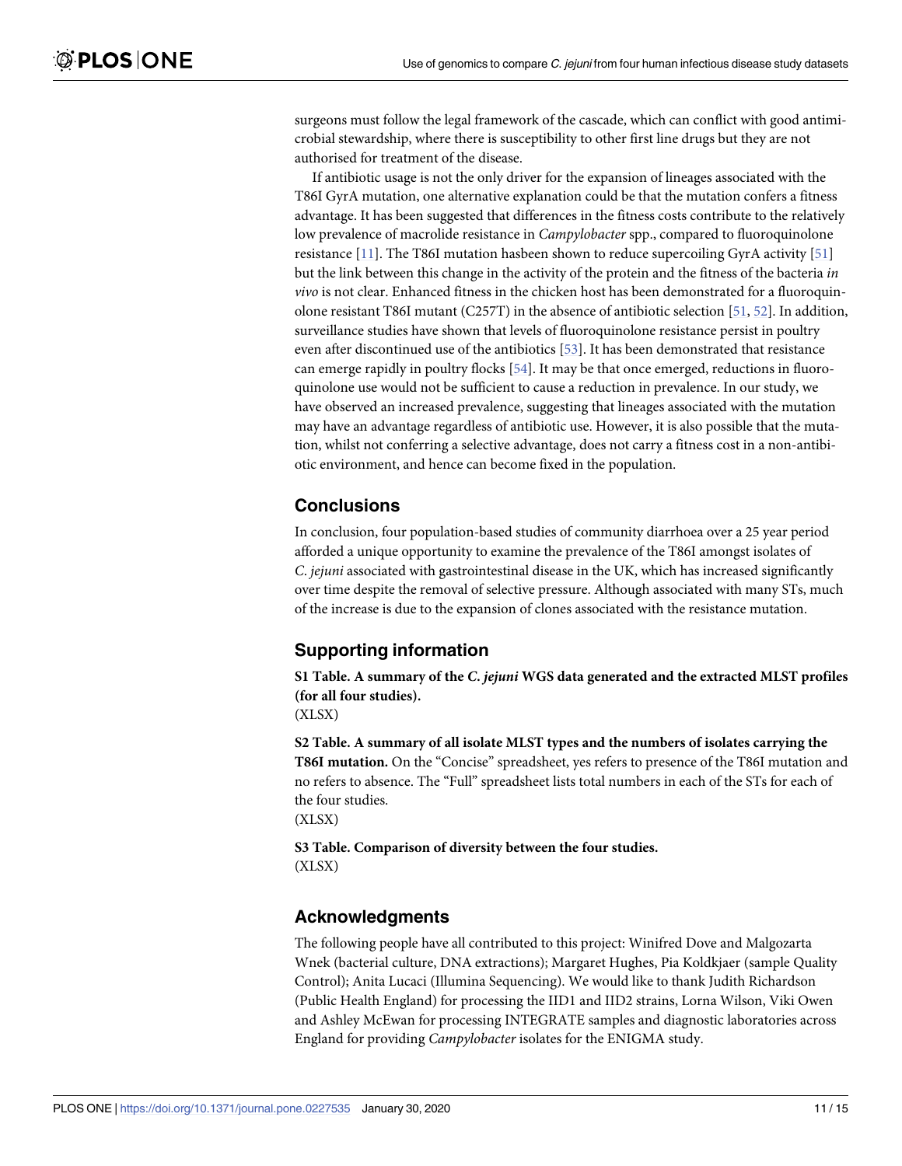<span id="page-10-0"></span>surgeons must follow the legal framework of the cascade, which can conflict with good antimicrobial stewardship, where there is susceptibility to other first line drugs but they are not authorised for treatment of the disease.

If antibiotic usage is not the only driver for the expansion of lineages associated with the T86I GyrA mutation, one alternative explanation could be that the mutation confers a fitness advantage. It has been suggested that differences in the fitness costs contribute to the relatively low prevalence of macrolide resistance in *Campylobacter* spp., compared to fluoroquinolone resistance [[11](#page-12-0)]. The T86I mutation hasbeen shown to reduce supercoiling GyrA activity [\[51\]](#page-14-0) but the link between this change in the activity of the protein and the fitness of the bacteria *in vivo* is not clear. Enhanced fitness in the chicken host has been demonstrated for a fluoroquinolone resistant T86I mutant (C257T) in the absence of antibiotic selection [[51](#page-14-0), [52](#page-14-0)]. In addition, surveillance studies have shown that levels of fluoroquinolone resistance persist in poultry even after discontinued use of the antibiotics [\[53\]](#page-14-0). It has been demonstrated that resistance can emerge rapidly in poultry flocks [[54](#page-14-0)]. It may be that once emerged, reductions in fluoroquinolone use would not be sufficient to cause a reduction in prevalence. In our study, we have observed an increased prevalence, suggesting that lineages associated with the mutation may have an advantage regardless of antibiotic use. However, it is also possible that the mutation, whilst not conferring a selective advantage, does not carry a fitness cost in a non-antibiotic environment, and hence can become fixed in the population.

#### **Conclusions**

In conclusion, four population-based studies of community diarrhoea over a 25 year period afforded a unique opportunity to examine the prevalence of the T86I amongst isolates of *C*. *jejuni* associated with gastrointestinal disease in the UK, which has increased significantly over time despite the removal of selective pressure. Although associated with many STs, much of the increase is due to the expansion of clones associated with the resistance mutation.

#### **Supporting information**

**S1 [Table.](http://www.plosone.org/article/fetchSingleRepresentation.action?uri=info:doi/10.1371/journal.pone.0227535.s001) A summary of the** *C***.** *jejuni* **WGS data generated and the extracted MLST profiles (for all four studies).**

(XLSX)

**S2 [Table.](http://www.plosone.org/article/fetchSingleRepresentation.action?uri=info:doi/10.1371/journal.pone.0227535.s002) A summary of all isolate MLST types and the numbers of isolates carrying the T86I mutation.** On the "Concise" spreadsheet, yes refers to presence of the T86I mutation and no refers to absence. The "Full" spreadsheet lists total numbers in each of the STs for each of the four studies. (XLSX)

**S3 [Table.](http://www.plosone.org/article/fetchSingleRepresentation.action?uri=info:doi/10.1371/journal.pone.0227535.s003) Comparison of diversity between the four studies.** (XLSX)

#### **Acknowledgments**

The following people have all contributed to this project: Winifred Dove and Malgozarta Wnek (bacterial culture, DNA extractions); Margaret Hughes, Pia Koldkjaer (sample Quality Control); Anita Lucaci (Illumina Sequencing). We would like to thank Judith Richardson (Public Health England) for processing the IID1 and IID2 strains, Lorna Wilson, Viki Owen and Ashley McEwan for processing INTEGRATE samples and diagnostic laboratories across England for providing *Campylobacter* isolates for the ENIGMA study.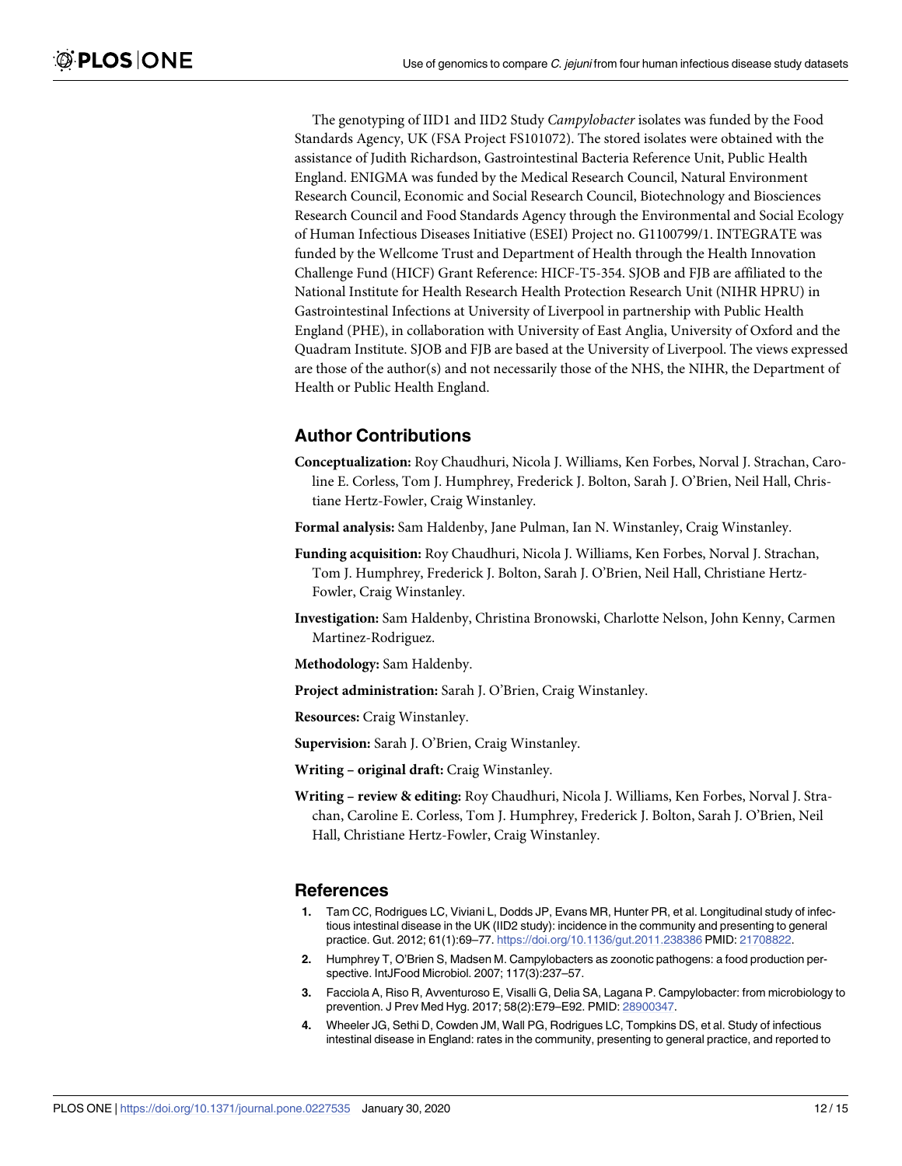<span id="page-11-0"></span>The genotyping of IID1 and IID2 Study *Campylobacter* isolates was funded by the Food Standards Agency, UK (FSA Project FS101072). The stored isolates were obtained with the assistance of Judith Richardson, Gastrointestinal Bacteria Reference Unit, Public Health England. ENIGMA was funded by the Medical Research Council, Natural Environment Research Council, Economic and Social Research Council, Biotechnology and Biosciences Research Council and Food Standards Agency through the Environmental and Social Ecology of Human Infectious Diseases Initiative (ESEI) Project no. G1100799/1. INTEGRATE was funded by the Wellcome Trust and Department of Health through the Health Innovation Challenge Fund (HICF) Grant Reference: HICF-T5-354. SJOB and FJB are affiliated to the National Institute for Health Research Health Protection Research Unit (NIHR HPRU) in Gastrointestinal Infections at University of Liverpool in partnership with Public Health England (PHE), in collaboration with University of East Anglia, University of Oxford and the Quadram Institute. SJOB and FJB are based at the University of Liverpool. The views expressed are those of the author(s) and not necessarily those of the NHS, the NIHR, the Department of Health or Public Health England.

## **Author Contributions**

- **Conceptualization:** Roy Chaudhuri, Nicola J. Williams, Ken Forbes, Norval J. Strachan, Caroline E. Corless, Tom J. Humphrey, Frederick J. Bolton, Sarah J. O'Brien, Neil Hall, Christiane Hertz-Fowler, Craig Winstanley.
- **Formal analysis:** Sam Haldenby, Jane Pulman, Ian N. Winstanley, Craig Winstanley.
- **Funding acquisition:** Roy Chaudhuri, Nicola J. Williams, Ken Forbes, Norval J. Strachan, Tom J. Humphrey, Frederick J. Bolton, Sarah J. O'Brien, Neil Hall, Christiane Hertz-Fowler, Craig Winstanley.
- **Investigation:** Sam Haldenby, Christina Bronowski, Charlotte Nelson, John Kenny, Carmen Martinez-Rodriguez.
- **Methodology:** Sam Haldenby.
- **Project administration:** Sarah J. O'Brien, Craig Winstanley.
- **Resources:** Craig Winstanley.
- **Supervision:** Sarah J. O'Brien, Craig Winstanley.
- **Writing – original draft:** Craig Winstanley.
- **Writing – review & editing:** Roy Chaudhuri, Nicola J. Williams, Ken Forbes, Norval J. Strachan, Caroline E. Corless, Tom J. Humphrey, Frederick J. Bolton, Sarah J. O'Brien, Neil Hall, Christiane Hertz-Fowler, Craig Winstanley.

#### **References**

- **[1](#page-1-0).** Tam CC, Rodrigues LC, Viviani L, Dodds JP, Evans MR, Hunter PR, et al. Longitudinal study of infectious intestinal disease in the UK (IID2 study): incidence in the community and presenting to general practice. Gut. 2012; 61(1):69–77. <https://doi.org/10.1136/gut.2011.238386> PMID: [21708822](http://www.ncbi.nlm.nih.gov/pubmed/21708822).
- **[2](#page-1-0).** Humphrey T, O'Brien S, Madsen M. Campylobacters as zoonotic pathogens: a food production perspective. IntJFood Microbiol. 2007; 117(3):237–57.
- **[3](#page-1-0).** Facciola A, Riso R, Avventuroso E, Visalli G, Delia SA, Lagana P. Campylobacter: from microbiology to prevention. J Prev Med Hyg. 2017; 58(2):E79–E92. PMID: [28900347.](http://www.ncbi.nlm.nih.gov/pubmed/28900347)
- **[4](#page-1-0).** Wheeler JG, Sethi D, Cowden JM, Wall PG, Rodrigues LC, Tompkins DS, et al. Study of infectious intestinal disease in England: rates in the community, presenting to general practice, and reported to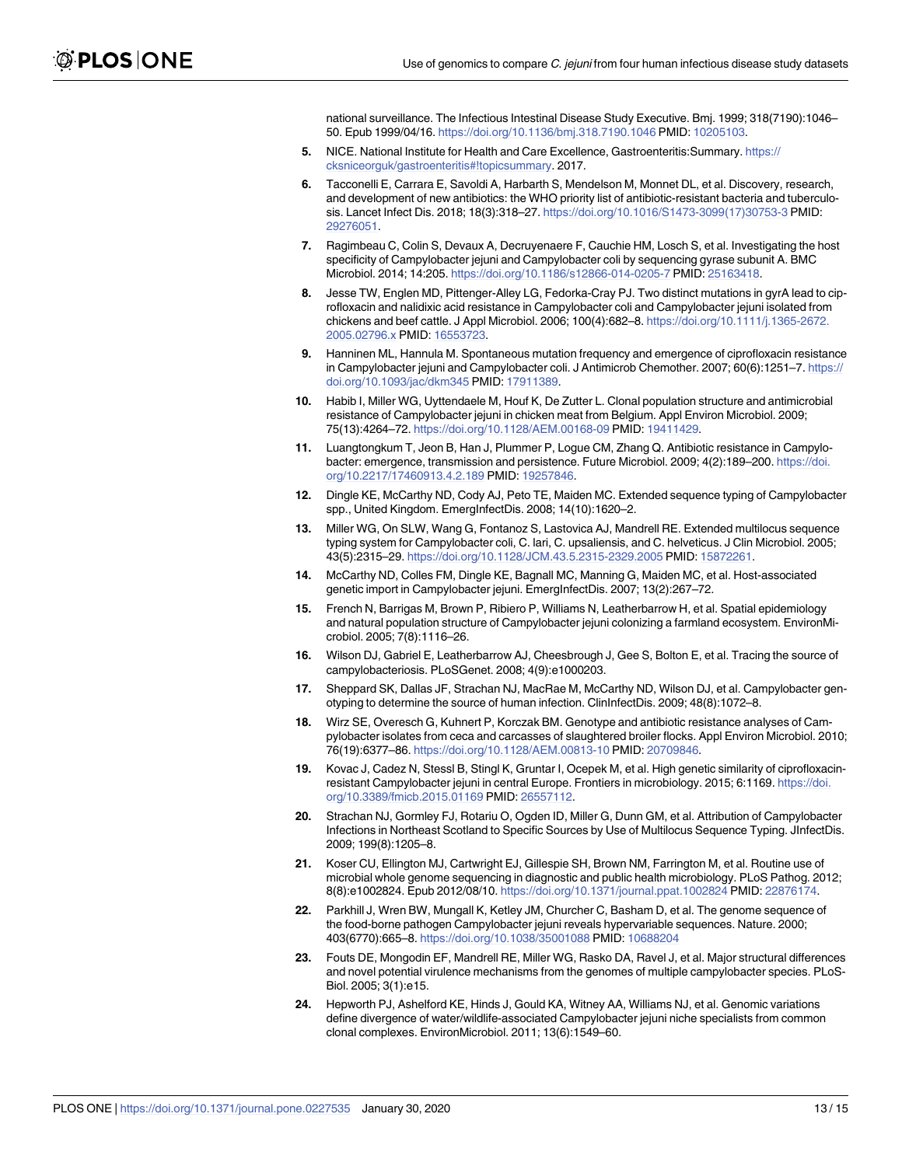national surveillance. The Infectious Intestinal Disease Study Executive. Bmj. 1999; 318(7190):1046– 50. Epub 1999/04/16. <https://doi.org/10.1136/bmj.318.7190.1046> PMID: [10205103.](http://www.ncbi.nlm.nih.gov/pubmed/10205103)

- <span id="page-12-0"></span>**[5](#page-1-0).** NICE. National Institute for Health and Care Excellence, Gastroenteritis:Summary. [https://](https://cksniceorguk/gastroenteritis#!topicsummary) [cksniceorguk/gastroenteritis#!topicsummary.](https://cksniceorguk/gastroenteritis#!topicsummary) 2017.
- **[6](#page-1-0).** Tacconelli E, Carrara E, Savoldi A, Harbarth S, Mendelson M, Monnet DL, et al. Discovery, research, and development of new antibiotics: the WHO priority list of antibiotic-resistant bacteria and tuberculosis. Lancet Infect Dis. 2018; 18(3):318–27. [https://doi.org/10.1016/S1473-3099\(17\)30753-3](https://doi.org/10.1016/S1473-3099(17)30753-3) PMID: [29276051](http://www.ncbi.nlm.nih.gov/pubmed/29276051).
- **[7](#page-1-0).** Ragimbeau C, Colin S, Devaux A, Decruyenaere F, Cauchie HM, Losch S, et al. Investigating the host specificity of Campylobacter jejuni and Campylobacter coli by sequencing gyrase subunit A. BMC Microbiol. 2014; 14:205. <https://doi.org/10.1186/s12866-014-0205-7> PMID: [25163418.](http://www.ncbi.nlm.nih.gov/pubmed/25163418)
- **8.** Jesse TW, Englen MD, Pittenger-Alley LG, Fedorka-Cray PJ. Two distinct mutations in gyrA lead to ciprofloxacin and nalidixic acid resistance in Campylobacter coli and Campylobacter jejuni isolated from chickens and beef cattle. J Appl Microbiol. 2006; 100(4):682–8. [https://doi.org/10.1111/j.1365-2672.](https://doi.org/10.1111/j.1365-2672.2005.02796.x) [2005.02796.x](https://doi.org/10.1111/j.1365-2672.2005.02796.x) PMID: [16553723](http://www.ncbi.nlm.nih.gov/pubmed/16553723).
- **9.** Hanninen ML, Hannula M. Spontaneous mutation frequency and emergence of ciprofloxacin resistance in Campylobacter jejuni and Campylobacter coli. J Antimicrob Chemother. 2007; 60(6):1251–7. [https://](https://doi.org/10.1093/jac/dkm345) [doi.org/10.1093/jac/dkm345](https://doi.org/10.1093/jac/dkm345) PMID: [17911389.](http://www.ncbi.nlm.nih.gov/pubmed/17911389)
- **[10](#page-9-0).** Habib I, Miller WG, Uyttendaele M, Houf K, De Zutter L. Clonal population structure and antimicrobial resistance of Campylobacter jejuni in chicken meat from Belgium. Appl Environ Microbiol. 2009; 75(13):4264–72. <https://doi.org/10.1128/AEM.00168-09> PMID: [19411429](http://www.ncbi.nlm.nih.gov/pubmed/19411429).
- **[11](#page-1-0).** Luangtongkum T, Jeon B, Han J, Plummer P, Logue CM, Zhang Q. Antibiotic resistance in Campylobacter: emergence, transmission and persistence. Future Microbiol. 2009; 4(2):189–200. [https://doi.](https://doi.org/10.2217/17460913.4.2.189) [org/10.2217/17460913.4.2.189](https://doi.org/10.2217/17460913.4.2.189) PMID: [19257846](http://www.ncbi.nlm.nih.gov/pubmed/19257846).
- **[12](#page-1-0).** Dingle KE, McCarthy ND, Cody AJ, Peto TE, Maiden MC. Extended sequence typing of Campylobacter spp., United Kingdom. EmergInfectDis. 2008; 14(10):1620–2.
- **[13](#page-1-0).** Miller WG, On SLW, Wang G, Fontanoz S, Lastovica AJ, Mandrell RE. Extended multilocus sequence typing system for Campylobacter coli, C. lari, C. upsaliensis, and C. helveticus. J Clin Microbiol. 2005; 43(5):2315–29. <https://doi.org/10.1128/JCM.43.5.2315-2329.2005> PMID: [15872261.](http://www.ncbi.nlm.nih.gov/pubmed/15872261)
- **[14](#page-1-0).** McCarthy ND, Colles FM, Dingle KE, Bagnall MC, Manning G, Maiden MC, et al. Host-associated genetic import in Campylobacter jejuni. EmergInfectDis. 2007; 13(2):267–72.
- **15.** French N, Barrigas M, Brown P, Ribiero P, Williams N, Leatherbarrow H, et al. Spatial epidemiology and natural population structure of Campylobacter jejuni colonizing a farmland ecosystem. EnvironMicrobiol. 2005; 7(8):1116–26.
- **[16](#page-1-0).** Wilson DJ, Gabriel E, Leatherbarrow AJ, Cheesbrough J, Gee S, Bolton E, et al. Tracing the source of campylobacteriosis. PLoSGenet. 2008; 4(9):e1000203.
- **[17](#page-1-0).** Sheppard SK, Dallas JF, Strachan NJ, MacRae M, McCarthy ND, Wilson DJ, et al. Campylobacter genotyping to determine the source of human infection. ClinInfectDis. 2009; 48(8):1072–8.
- **[18](#page-1-0).** Wirz SE, Overesch G, Kuhnert P, Korczak BM. Genotype and antibiotic resistance analyses of Campylobacter isolates from ceca and carcasses of slaughtered broiler flocks. Appl Environ Microbiol. 2010; 76(19):6377–86. <https://doi.org/10.1128/AEM.00813-10> PMID: [20709846](http://www.ncbi.nlm.nih.gov/pubmed/20709846).
- **[19](#page-1-0).** Kovac J, Cadez N, Stessl B, Stingl K, Gruntar I, Ocepek M, et al. High genetic similarity of ciprofloxacinresistant Campylobacter jejuni in central Europe. Frontiers in microbiology. 2015; 6:1169. [https://doi.](https://doi.org/10.3389/fmicb.2015.01169) [org/10.3389/fmicb.2015.01169](https://doi.org/10.3389/fmicb.2015.01169) PMID: [26557112.](http://www.ncbi.nlm.nih.gov/pubmed/26557112)
- **[20](#page-1-0).** Strachan NJ, Gormley FJ, Rotariu O, Ogden ID, Miller G, Dunn GM, et al. Attribution of Campylobacter Infections in Northeast Scotland to Specific Sources by Use of Multilocus Sequence Typing. JInfectDis. 2009; 199(8):1205–8.
- **[21](#page-2-0).** Koser CU, Ellington MJ, Cartwright EJ, Gillespie SH, Brown NM, Farrington M, et al. Routine use of microbial whole genome sequencing in diagnostic and public health microbiology. PLoS Pathog. 2012; 8(8):e1002824. Epub 2012/08/10. <https://doi.org/10.1371/journal.ppat.1002824> PMID: [22876174.](http://www.ncbi.nlm.nih.gov/pubmed/22876174)
- **[22](#page-2-0).** Parkhill J, Wren BW, Mungall K, Ketley JM, Churcher C, Basham D, et al. The genome sequence of the food-borne pathogen Campylobacter jejuni reveals hypervariable sequences. Nature. 2000; 403(6770):665–8. <https://doi.org/10.1038/35001088> PMID: [10688204](http://www.ncbi.nlm.nih.gov/pubmed/10688204)
- **[23](#page-2-0).** Fouts DE, Mongodin EF, Mandrell RE, Miller WG, Rasko DA, Ravel J, et al. Major structural differences and novel potential virulence mechanisms from the genomes of multiple campylobacter species. PLoS-Biol. 2005; 3(1):e15.
- **[24](#page-2-0).** Hepworth PJ, Ashelford KE, Hinds J, Gould KA, Witney AA, Williams NJ, et al. Genomic variations define divergence of water/wildlife-associated Campylobacter jejuni niche specialists from common clonal complexes. EnvironMicrobiol. 2011; 13(6):1549–60.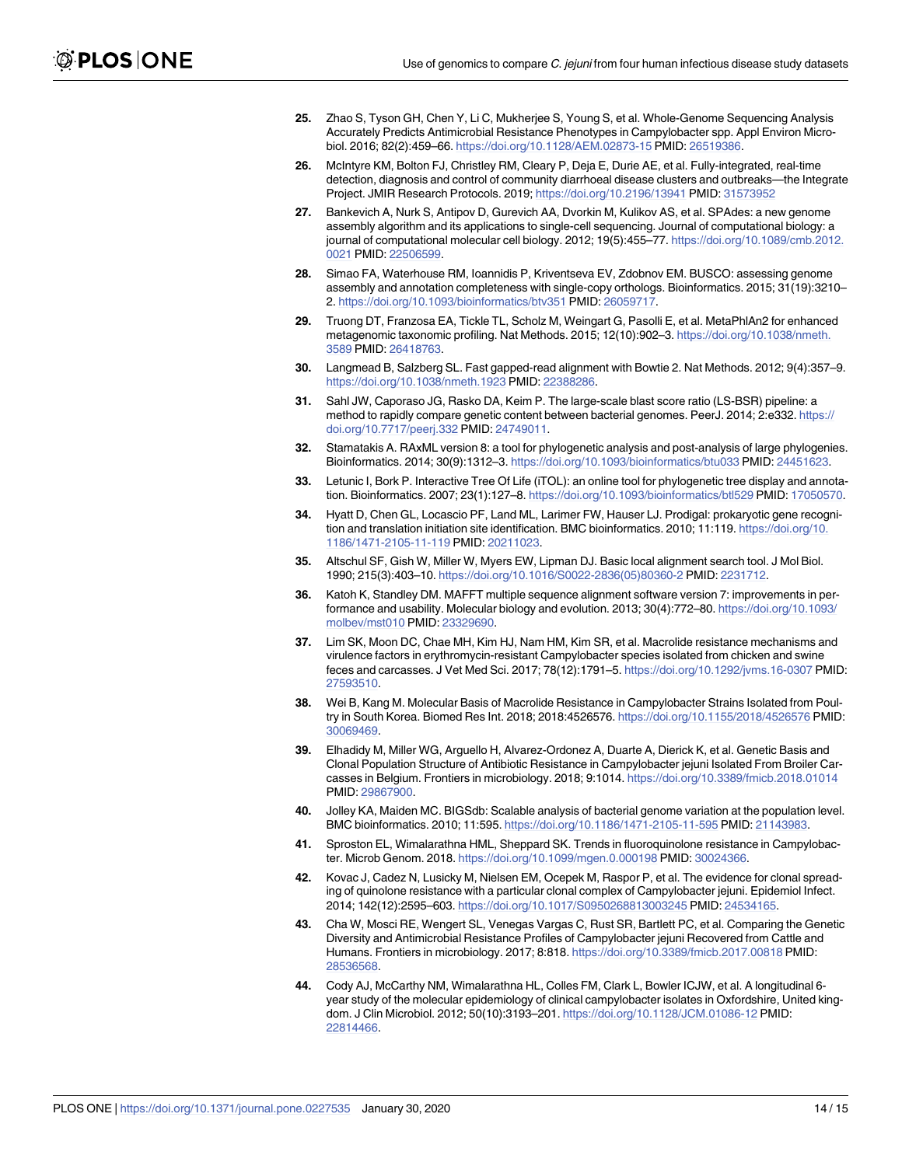- <span id="page-13-0"></span>**[25](#page-2-0).** Zhao S, Tyson GH, Chen Y, Li C, Mukherjee S, Young S, et al. Whole-Genome Sequencing Analysis Accurately Predicts Antimicrobial Resistance Phenotypes in Campylobacter spp. Appl Environ Microbiol. 2016; 82(2):459–66. <https://doi.org/10.1128/AEM.02873-15> PMID: [26519386](http://www.ncbi.nlm.nih.gov/pubmed/26519386).
- **[26](#page-2-0).** McIntyre KM, Bolton FJ, Christley RM, Cleary P, Deja E, Durie AE, et al. Fully-integrated, real-time detection, diagnosis and control of community diarrhoeal disease clusters and outbreaks—the Integrate Project. JMIR Research Protocols. 2019; <https://doi.org/10.2196/13941> PMID: [31573952](http://www.ncbi.nlm.nih.gov/pubmed/31573952)
- **[27](#page-3-0).** Bankevich A, Nurk S, Antipov D, Gurevich AA, Dvorkin M, Kulikov AS, et al. SPAdes: a new genome assembly algorithm and its applications to single-cell sequencing. Journal of computational biology: a journal of computational molecular cell biology. 2012; 19(5):455–77. [https://doi.org/10.1089/cmb.2012.](https://doi.org/10.1089/cmb.2012.0021) [0021](https://doi.org/10.1089/cmb.2012.0021) PMID: [22506599](http://www.ncbi.nlm.nih.gov/pubmed/22506599).
- **[28](#page-3-0).** Simao FA, Waterhouse RM, Ioannidis P, Kriventseva EV, Zdobnov EM. BUSCO: assessing genome assembly and annotation completeness with single-copy orthologs. Bioinformatics. 2015; 31(19):3210– 2. <https://doi.org/10.1093/bioinformatics/btv351> PMID: [26059717](http://www.ncbi.nlm.nih.gov/pubmed/26059717).
- **[29](#page-3-0).** Truong DT, Franzosa EA, Tickle TL, Scholz M, Weingart G, Pasolli E, et al. MetaPhlAn2 for enhanced metagenomic taxonomic profiling. Nat Methods. 2015; 12(10):902–3. [https://doi.org/10.1038/nmeth.](https://doi.org/10.1038/nmeth.3589) [3589](https://doi.org/10.1038/nmeth.3589) PMID: [26418763](http://www.ncbi.nlm.nih.gov/pubmed/26418763).
- **[30](#page-3-0).** Langmead B, Salzberg SL. Fast gapped-read alignment with Bowtie 2. Nat Methods. 2012; 9(4):357–9. <https://doi.org/10.1038/nmeth.1923> PMID: [22388286.](http://www.ncbi.nlm.nih.gov/pubmed/22388286)
- **[31](#page-3-0).** Sahl JW, Caporaso JG, Rasko DA, Keim P. The large-scale blast score ratio (LS-BSR) pipeline: a method to rapidly compare genetic content between bacterial genomes. PeerJ. 2014; 2:e332. [https://](https://doi.org/10.7717/peerj.332) [doi.org/10.7717/peerj.332](https://doi.org/10.7717/peerj.332) PMID: [24749011](http://www.ncbi.nlm.nih.gov/pubmed/24749011).
- **[32](#page-3-0).** Stamatakis A. RAxML version 8: a tool for phylogenetic analysis and post-analysis of large phylogenies. Bioinformatics. 2014; 30(9):1312–3. <https://doi.org/10.1093/bioinformatics/btu033> PMID: [24451623](http://www.ncbi.nlm.nih.gov/pubmed/24451623).
- **[33](#page-3-0).** Letunic I, Bork P. Interactive Tree Of Life (iTOL): an online tool for phylogenetic tree display and annotation. Bioinformatics. 2007; 23(1):127–8. <https://doi.org/10.1093/bioinformatics/btl529> PMID: [17050570](http://www.ncbi.nlm.nih.gov/pubmed/17050570).
- **[34](#page-3-0).** Hyatt D, Chen GL, Locascio PF, Land ML, Larimer FW, Hauser LJ. Prodigal: prokaryotic gene recognition and translation initiation site identification. BMC bioinformatics. 2010; 11:119. [https://doi.org/10.](https://doi.org/10.1186/1471-2105-11-119) [1186/1471-2105-11-119](https://doi.org/10.1186/1471-2105-11-119) PMID: [20211023](http://www.ncbi.nlm.nih.gov/pubmed/20211023).
- **[35](#page-3-0).** Altschul SF, Gish W, Miller W, Myers EW, Lipman DJ. Basic local alignment search tool. J Mol Biol. 1990; 215(3):403–10. [https://doi.org/10.1016/S0022-2836\(05\)80360-2](https://doi.org/10.1016/S0022-2836(05)80360-2) PMID: [2231712](http://www.ncbi.nlm.nih.gov/pubmed/2231712).
- **[36](#page-3-0).** Katoh K, Standley DM. MAFFT multiple sequence alignment software version 7: improvements in performance and usability. Molecular biology and evolution. 2013; 30(4):772–80. [https://doi.org/10.1093/](https://doi.org/10.1093/molbev/mst010) [molbev/mst010](https://doi.org/10.1093/molbev/mst010) PMID: [23329690](http://www.ncbi.nlm.nih.gov/pubmed/23329690).
- **[37](#page-6-0).** Lim SK, Moon DC, Chae MH, Kim HJ, Nam HM, Kim SR, et al. Macrolide resistance mechanisms and virulence factors in erythromycin-resistant Campylobacter species isolated from chicken and swine feces and carcasses. J Vet Med Sci. 2017; 78(12):1791–5. <https://doi.org/10.1292/jvms.16-0307> PMID: [27593510](http://www.ncbi.nlm.nih.gov/pubmed/27593510).
- **[38](#page-6-0).** Wei B, Kang M. Molecular Basis of Macrolide Resistance in Campylobacter Strains Isolated from Poultry in South Korea. Biomed Res Int. 2018; 2018:4526576. <https://doi.org/10.1155/2018/4526576> PMID: [30069469](http://www.ncbi.nlm.nih.gov/pubmed/30069469).
- **[39](#page-6-0).** Elhadidy M, Miller WG, Arguello H, Alvarez-Ordonez A, Duarte A, Dierick K, et al. Genetic Basis and Clonal Population Structure of Antibiotic Resistance in Campylobacter jejuni Isolated From Broiler Carcasses in Belgium. Frontiers in microbiology. 2018; 9:1014. <https://doi.org/10.3389/fmicb.2018.01014> PMID: [29867900](http://www.ncbi.nlm.nih.gov/pubmed/29867900).
- **[40](#page-8-0).** Jolley KA, Maiden MC. BIGSdb: Scalable analysis of bacterial genome variation at the population level. BMC bioinformatics. 2010; 11:595. <https://doi.org/10.1186/1471-2105-11-595> PMID: [21143983](http://www.ncbi.nlm.nih.gov/pubmed/21143983).
- **[41](#page-9-0).** Sproston EL, Wimalarathna HML, Sheppard SK. Trends in fluoroquinolone resistance in Campylobacter. Microb Genom. 2018. <https://doi.org/10.1099/mgen.0.000198> PMID: [30024366.](http://www.ncbi.nlm.nih.gov/pubmed/30024366)
- **[42](#page-9-0).** Kovac J, Cadez N, Lusicky M, Nielsen EM, Ocepek M, Raspor P, et al. The evidence for clonal spreading of quinolone resistance with a particular clonal complex of Campylobacter jejuni. Epidemiol Infect. 2014; 142(12):2595–603. <https://doi.org/10.1017/S0950268813003245> PMID: [24534165](http://www.ncbi.nlm.nih.gov/pubmed/24534165).
- **[43](#page-9-0).** Cha W, Mosci RE, Wengert SL, Venegas Vargas C, Rust SR, Bartlett PC, et al. Comparing the Genetic Diversity and Antimicrobial Resistance Profiles of Campylobacter jejuni Recovered from Cattle and Humans. Frontiers in microbiology. 2017; 8:818. <https://doi.org/10.3389/fmicb.2017.00818> PMID: [28536568](http://www.ncbi.nlm.nih.gov/pubmed/28536568).
- **[44](#page-9-0).** Cody AJ, McCarthy NM, Wimalarathna HL, Colles FM, Clark L, Bowler ICJW, et al. A longitudinal 6 year study of the molecular epidemiology of clinical campylobacter isolates in Oxfordshire, United kingdom. J Clin Microbiol. 2012; 50(10):3193–201. <https://doi.org/10.1128/JCM.01086-12> PMID: [22814466](http://www.ncbi.nlm.nih.gov/pubmed/22814466).